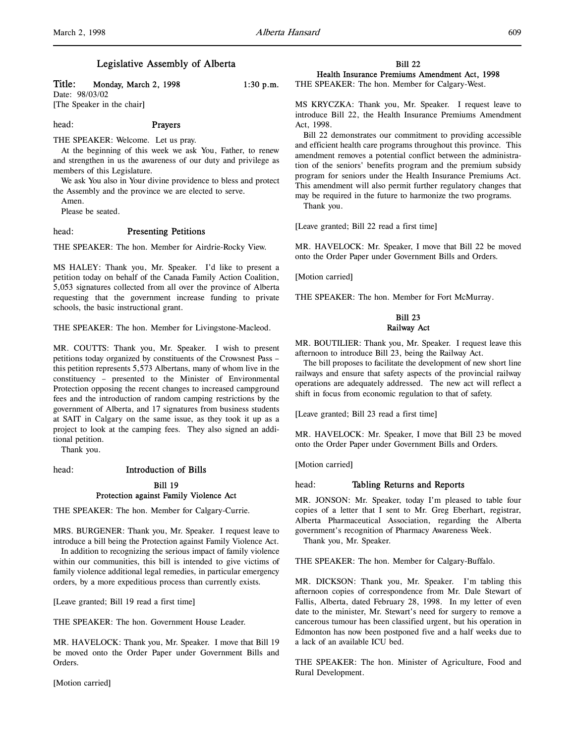Title: Monday, March 2, 1998 1:30 p.m.

Date: 98/03/02 [The Speaker in the chair]

# head: Prayers

THE SPEAKER: Welcome. Let us pray.

At the beginning of this week we ask You, Father, to renew and strengthen in us the awareness of our duty and privilege as members of this Legislature.

We ask You also in Your divine providence to bless and protect the Assembly and the province we are elected to serve.

Amen.

Please be seated.

# head: Presenting Petitions

THE SPEAKER: The hon. Member for Airdrie-Rocky View.

MS HALEY: Thank you, Mr. Speaker. I'd like to present a petition today on behalf of the Canada Family Action Coalition, 5,053 signatures collected from all over the province of Alberta requesting that the government increase funding to private schools, the basic instructional grant.

THE SPEAKER: The hon. Member for Livingstone-Macleod.

MR. COUTTS: Thank you, Mr. Speaker. I wish to present petitions today organized by constituents of the Crowsnest Pass – this petition represents 5,573 Albertans, many of whom live in the constituency – presented to the Minister of Environmental Protection opposing the recent changes to increased campground fees and the introduction of random camping restrictions by the government of Alberta, and 17 signatures from business students at SAIT in Calgary on the same issue, as they took it up as a project to look at the camping fees. They also signed an additional petition.

Thank you.

# head: Introduction of Bills Bill 19 Protection against Family Violence Act

THE SPEAKER: The hon. Member for Calgary-Currie.

MRS. BURGENER: Thank you, Mr. Speaker. I request leave to introduce a bill being the Protection against Family Violence Act.

In addition to recognizing the serious impact of family violence within our communities, this bill is intended to give victims of family violence additional legal remedies, in particular emergency orders, by a more expeditious process than currently exists.

[Leave granted; Bill 19 read a first time]

THE SPEAKER: The hon. Government House Leader.

MR. HAVELOCK: Thank you, Mr. Speaker. I move that Bill 19 be moved onto the Order Paper under Government Bills and Orders.

[Motion carried]

Bill 22 Health Insurance Premiums Amendment Act, 1998

THE SPEAKER: The hon. Member for Calgary-West.

MS KRYCZKA: Thank you, Mr. Speaker. I request leave to introduce Bill 22, the Health Insurance Premiums Amendment Act, 1998.

Bill 22 demonstrates our commitment to providing accessible and efficient health care programs throughout this province. This amendment removes a potential conflict between the administration of the seniors' benefits program and the premium subsidy program for seniors under the Health Insurance Premiums Act. This amendment will also permit further regulatory changes that may be required in the future to harmonize the two programs. Thank you.

[Leave granted; Bill 22 read a first time]

MR. HAVELOCK: Mr. Speaker, I move that Bill 22 be moved onto the Order Paper under Government Bills and Orders.

[Motion carried]

THE SPEAKER: The hon. Member for Fort McMurray.

# Bill 23 Railway Act

MR. BOUTILIER: Thank you, Mr. Speaker. I request leave this afternoon to introduce Bill 23, being the Railway Act.

The bill proposes to facilitate the development of new short line railways and ensure that safety aspects of the provincial railway operations are adequately addressed. The new act will reflect a shift in focus from economic regulation to that of safety.

[Leave granted; Bill 23 read a first time]

MR. HAVELOCK: Mr. Speaker, I move that Bill 23 be moved onto the Order Paper under Government Bills and Orders.

[Motion carried]

# head: Tabling Returns and Reports

MR. JONSON: Mr. Speaker, today I'm pleased to table four copies of a letter that I sent to Mr. Greg Eberhart, registrar, Alberta Pharmaceutical Association, regarding the Alberta government's recognition of Pharmacy Awareness Week.

Thank you, Mr. Speaker.

THE SPEAKER: The hon. Member for Calgary-Buffalo.

MR. DICKSON: Thank you, Mr. Speaker. I'm tabling this afternoon copies of correspondence from Mr. Dale Stewart of Fallis, Alberta, dated February 28, 1998. In my letter of even date to the minister, Mr. Stewart's need for surgery to remove a cancerous tumour has been classified urgent, but his operation in Edmonton has now been postponed five and a half weeks due to a lack of an available ICU bed.

THE SPEAKER: The hon. Minister of Agriculture, Food and Rural Development.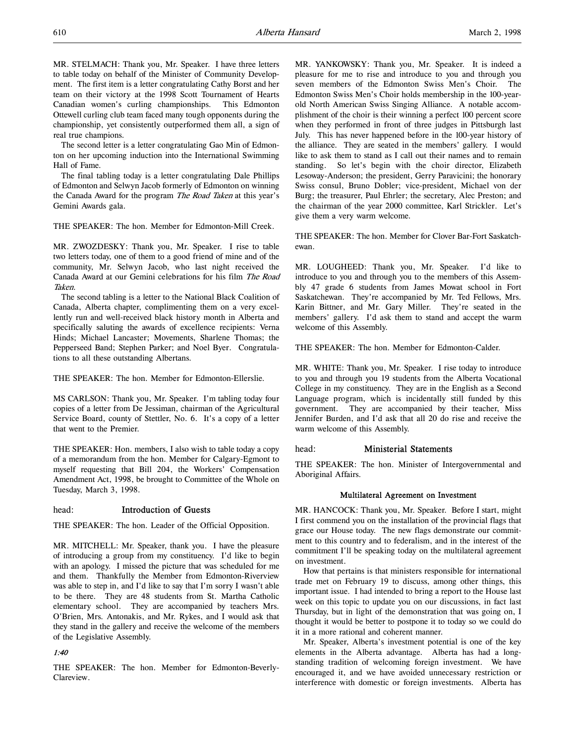MR. STELMACH: Thank you, Mr. Speaker. I have three letters to table today on behalf of the Minister of Community Development. The first item is a letter congratulating Cathy Borst and her team on their victory at the 1998 Scott Tournament of Hearts Canadian women's curling championships. This Edmonton Ottewell curling club team faced many tough opponents during the championship, yet consistently outperformed them all, a sign of real true champions.

The second letter is a letter congratulating Gao Min of Edmonton on her upcoming induction into the International Swimming Hall of Fame.

The final tabling today is a letter congratulating Dale Phillips of Edmonton and Selwyn Jacob formerly of Edmonton on winning the Canada Award for the program The Road Taken at this year's Gemini Awards gala.

THE SPEAKER: The hon. Member for Edmonton-Mill Creek.

MR. ZWOZDESKY: Thank you, Mr. Speaker. I rise to table two letters today, one of them to a good friend of mine and of the community, Mr. Selwyn Jacob, who last night received the Canada Award at our Gemini celebrations for his film The Road Taken.

The second tabling is a letter to the National Black Coalition of Canada, Alberta chapter, complimenting them on a very excellently run and well-received black history month in Alberta and specifically saluting the awards of excellence recipients: Verna Hinds; Michael Lancaster; Movements, Sharlene Thomas; the Pepperseed Band; Stephen Parker; and Noel Byer. Congratulations to all these outstanding Albertans.

THE SPEAKER: The hon. Member for Edmonton-Ellerslie.

MS CARLSON: Thank you, Mr. Speaker. I'm tabling today four copies of a letter from De Jessiman, chairman of the Agricultural Service Board, county of Stettler, No. 6. It's a copy of a letter that went to the Premier.

THE SPEAKER: Hon. members, I also wish to table today a copy of a memorandum from the hon. Member for Calgary-Egmont to myself requesting that Bill 204, the Workers' Compensation Amendment Act, 1998, be brought to Committee of the Whole on Tuesday, March 3, 1998.

# head: Introduction of Guests

THE SPEAKER: The hon. Leader of the Official Opposition.

MR. MITCHELL: Mr. Speaker, thank you. I have the pleasure of introducing a group from my constituency. I'd like to begin with an apology. I missed the picture that was scheduled for me and them. Thankfully the Member from Edmonton-Riverview was able to step in, and I'd like to say that I'm sorry I wasn't able to be there. They are 48 students from St. Martha Catholic elementary school. They are accompanied by teachers Mrs. O'Brien, Mrs. Antonakis, and Mr. Rykes, and I would ask that they stand in the gallery and receive the welcome of the members of the Legislative Assembly.

# 1:40

THE SPEAKER: The hon. Member for Edmonton-Beverly-Clareview.

MR. YANKOWSKY: Thank you, Mr. Speaker. It is indeed a pleasure for me to rise and introduce to you and through you seven members of the Edmonton Swiss Men's Choir. The Edmonton Swiss Men's Choir holds membership in the 100-yearold North American Swiss Singing Alliance. A notable accomplishment of the choir is their winning a perfect 100 percent score when they performed in front of three judges in Pittsburgh last July. This has never happened before in the 100-year history of the alliance. They are seated in the members' gallery. I would like to ask them to stand as I call out their names and to remain standing. So let's begin with the choir director, Elizabeth Lesoway-Anderson; the president, Gerry Paravicini; the honorary Swiss consul, Bruno Dobler; vice-president, Michael von der Burg; the treasurer, Paul Ehrler; the secretary, Alec Preston; and the chairman of the year 2000 committee, Karl Strickler. Let's give them a very warm welcome.

THE SPEAKER: The hon. Member for Clover Bar-Fort Saskatchewan.

MR. LOUGHEED: Thank you, Mr. Speaker. I'd like to introduce to you and through you to the members of this Assembly 47 grade 6 students from James Mowat school in Fort Saskatchewan. They're accompanied by Mr. Ted Fellows, Mrs. Karin Bittner, and Mr. Gary Miller. They're seated in the members' gallery. I'd ask them to stand and accept the warm welcome of this Assembly.

THE SPEAKER: The hon. Member for Edmonton-Calder.

MR. WHITE: Thank you, Mr. Speaker. I rise today to introduce to you and through you 19 students from the Alberta Vocational College in my constituency. They are in the English as a Second Language program, which is incidentally still funded by this government. They are accompanied by their teacher, Miss Jennifer Burden, and I'd ask that all 20 do rise and receive the warm welcome of this Assembly.

## head: Ministerial Statements

THE SPEAKER: The hon. Minister of Intergovernmental and Aboriginal Affairs.

## Multilateral Agreement on Investment

MR. HANCOCK: Thank you, Mr. Speaker. Before I start, might I first commend you on the installation of the provincial flags that grace our House today. The new flags demonstrate our commitment to this country and to federalism, and in the interest of the commitment I'll be speaking today on the multilateral agreement on investment.

How that pertains is that ministers responsible for international trade met on February 19 to discuss, among other things, this important issue. I had intended to bring a report to the House last week on this topic to update you on our discussions, in fact last Thursday, but in light of the demonstration that was going on, I thought it would be better to postpone it to today so we could do it in a more rational and coherent manner.

Mr. Speaker, Alberta's investment potential is one of the key elements in the Alberta advantage. Alberta has had a longstanding tradition of welcoming foreign investment. We have encouraged it, and we have avoided unnecessary restriction or interference with domestic or foreign investments. Alberta has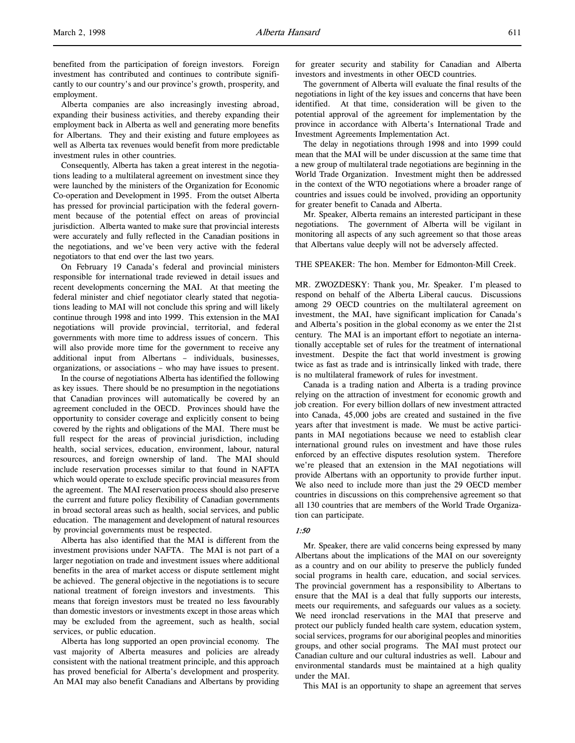benefited from the participation of foreign investors. Foreign investment has contributed and continues to contribute significantly to our country's and our province's growth, prosperity, and employment.

Alberta companies are also increasingly investing abroad, expanding their business activities, and thereby expanding their employment back in Alberta as well and generating more benefits for Albertans. They and their existing and future employees as well as Alberta tax revenues would benefit from more predictable investment rules in other countries.

Consequently, Alberta has taken a great interest in the negotiations leading to a multilateral agreement on investment since they were launched by the ministers of the Organization for Economic Co-operation and Development in 1995. From the outset Alberta has pressed for provincial participation with the federal government because of the potential effect on areas of provincial jurisdiction. Alberta wanted to make sure that provincial interests were accurately and fully reflected in the Canadian positions in the negotiations, and we've been very active with the federal negotiators to that end over the last two years.

On February 19 Canada's federal and provincial ministers responsible for international trade reviewed in detail issues and recent developments concerning the MAI. At that meeting the federal minister and chief negotiator clearly stated that negotiations leading to MAI will not conclude this spring and will likely continue through 1998 and into 1999. This extension in the MAI negotiations will provide provincial, territorial, and federal governments with more time to address issues of concern. This will also provide more time for the government to receive any additional input from Albertans – individuals, businesses, organizations, or associations – who may have issues to present.

In the course of negotiations Alberta has identified the following as key issues. There should be no presumption in the negotiations that Canadian provinces will automatically be covered by an agreement concluded in the OECD. Provinces should have the opportunity to consider coverage and explicitly consent to being covered by the rights and obligations of the MAI. There must be full respect for the areas of provincial jurisdiction, including health, social services, education, environment, labour, natural resources, and foreign ownership of land. The MAI should include reservation processes similar to that found in NAFTA which would operate to exclude specific provincial measures from the agreement. The MAI reservation process should also preserve the current and future policy flexibility of Canadian governments in broad sectoral areas such as health, social services, and public education. The management and development of natural resources by provincial governments must be respected.

Alberta has also identified that the MAI is different from the investment provisions under NAFTA. The MAI is not part of a larger negotiation on trade and investment issues where additional benefits in the area of market access or dispute settlement might be achieved. The general objective in the negotiations is to secure national treatment of foreign investors and investments. This means that foreign investors must be treated no less favourably than domestic investors or investments except in those areas which may be excluded from the agreement, such as health, social services, or public education.

Alberta has long supported an open provincial economy. The vast majority of Alberta measures and policies are already consistent with the national treatment principle, and this approach has proved beneficial for Alberta's development and prosperity. An MAI may also benefit Canadians and Albertans by providing

for greater security and stability for Canadian and Alberta investors and investments in other OECD countries.

The government of Alberta will evaluate the final results of the negotiations in light of the key issues and concerns that have been identified. At that time, consideration will be given to the potential approval of the agreement for implementation by the province in accordance with Alberta's International Trade and Investment Agreements Implementation Act.

The delay in negotiations through 1998 and into 1999 could mean that the MAI will be under discussion at the same time that a new group of multilateral trade negotiations are beginning in the World Trade Organization. Investment might then be addressed in the context of the WTO negotiations where a broader range of countries and issues could be involved, providing an opportunity for greater benefit to Canada and Alberta.

Mr. Speaker, Alberta remains an interested participant in these negotiations. The government of Alberta will be vigilant in monitoring all aspects of any such agreement so that those areas that Albertans value deeply will not be adversely affected.

THE SPEAKER: The hon. Member for Edmonton-Mill Creek.

MR. ZWOZDESKY: Thank you, Mr. Speaker. I'm pleased to respond on behalf of the Alberta Liberal caucus. Discussions among 29 OECD countries on the multilateral agreement on investment, the MAI, have significant implication for Canada's and Alberta's position in the global economy as we enter the 21st century. The MAI is an important effort to negotiate an internationally acceptable set of rules for the treatment of international investment. Despite the fact that world investment is growing twice as fast as trade and is intrinsically linked with trade, there is no multilateral framework of rules for investment.

Canada is a trading nation and Alberta is a trading province relying on the attraction of investment for economic growth and job creation. For every billion dollars of new investment attracted into Canada, 45,000 jobs are created and sustained in the five years after that investment is made. We must be active participants in MAI negotiations because we need to establish clear international ground rules on investment and have those rules enforced by an effective disputes resolution system. Therefore we're pleased that an extension in the MAI negotiations will provide Albertans with an opportunity to provide further input. We also need to include more than just the 29 OECD member countries in discussions on this comprehensive agreement so that all 130 countries that are members of the World Trade Organization can participate.

## 1:50

Mr. Speaker, there are valid concerns being expressed by many Albertans about the implications of the MAI on our sovereignty as a country and on our ability to preserve the publicly funded social programs in health care, education, and social services. The provincial government has a responsibility to Albertans to ensure that the MAI is a deal that fully supports our interests, meets our requirements, and safeguards our values as a society. We need ironclad reservations in the MAI that preserve and protect our publicly funded health care system, education system, social services, programs for our aboriginal peoples and minorities groups, and other social programs. The MAI must protect our Canadian culture and our cultural industries as well. Labour and environmental standards must be maintained at a high quality under the MAI.

This MAI is an opportunity to shape an agreement that serves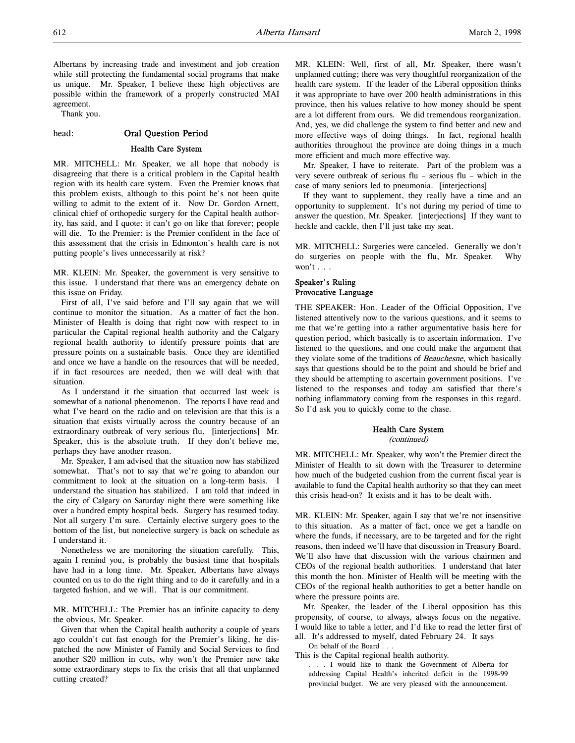Albertans by increasing trade and investment and job creation while still protecting the fundamental social programs that make us unique. Mr. Speaker, I believe these high objectives are possible within the framework of a properly constructed MAI agreement.

Thank you.

#### head: Oral Question Period

# Health Care System

MR. MITCHELL: Mr. Speaker, we all hope that nobody is disagreeing that there is a critical problem in the Capital health region with its health care system. Even the Premier knows that this problem exists, although to this point he's not been quite willing to admit to the extent of it. Now Dr. Gordon Arnett, clinical chief of orthopedic surgery for the Capital health authority, has said, and I quote: it can't go on like that forever; people will die. To the Premier: is the Premier confident in the face of this assessment that the crisis in Edmonton's health care is not putting people's lives unnecessarily at risk?

MR. KLEIN: Mr. Speaker, the government is very sensitive to this issue. I understand that there was an emergency debate on this issue on Friday.

First of all, I've said before and I'll say again that we will continue to monitor the situation. As a matter of fact the hon. Minister of Health is doing that right now with respect to in particular the Capital regional health authority and the Calgary regional health authority to identify pressure points that are pressure points on a sustainable basis. Once they are identified and once we have a handle on the resources that will be needed, if in fact resources are needed, then we will deal with that situation.

As I understand it the situation that occurred last week is somewhat of a national phenomenon. The reports I have read and what I've heard on the radio and on television are that this is a situation that exists virtually across the country because of an extraordinary outbreak of very serious flu. [interjections] Mr. Speaker, this is the absolute truth. If they don't believe me, perhaps they have another reason.

Mr. Speaker, I am advised that the situation now has stabilized somewhat. That's not to say that we're going to abandon our commitment to look at the situation on a long-term basis. I understand the situation has stabilized. I am told that indeed in the city of Calgary on Saturday night there were something like over a hundred empty hospital beds. Surgery has resumed today. Not all surgery I'm sure. Certainly elective surgery goes to the bottom of the list, but nonelective surgery is back on schedule as I understand it.

Nonetheless we are monitoring the situation carefully. This, again I remind you, is probably the busiest time that hospitals have had in a long time. Mr. Speaker, Albertans have always counted on us to do the right thing and to do it carefully and in a targeted fashion, and we will. That is our commitment.

MR. MITCHELL: The Premier has an infinite capacity to deny the obvious, Mr. Speaker.

Given that when the Capital health authority a couple of years ago couldn't cut fast enough for the Premier's liking, he dispatched the now Minister of Family and Social Services to find another \$20 million in cuts, why won't the Premier now take some extraordinary steps to fix the crisis that all that unplanned cutting created?

MR. KLEIN: Well, first of all, Mr. Speaker, there wasn't unplanned cutting; there was very thoughtful reorganization of the health care system. If the leader of the Liberal opposition thinks it was appropriate to have over 200 health administrations in this province, then his values relative to how money should be spent are a lot different from ours. We did tremendous reorganization. And, yes, we did challenge the system to find better and new and more effective ways of doing things. In fact, regional health authorities throughout the province are doing things in a much more efficient and much more effective way.

Mr. Speaker, I have to reiterate. Part of the problem was a very severe outbreak of serious flu – serious flu – which in the case of many seniors led to pneumonia. [interjections]

If they want to supplement, they really have a time and an opportunity to supplement. It's not during my period of time to answer the question, Mr. Speaker. [interjections] If they want to heckle and cackle, then I'll just take my seat.

MR. MITCHELL: Surgeries were canceled. Generally we don't do surgeries on people with the flu, Mr. Speaker. Why won't . . .

# Speaker's Ruling Provocative Language

THE SPEAKER: Hon. Leader of the Official Opposition, I've listened attentively now to the various questions, and it seems to me that we're getting into a rather argumentative basis here for question period, which basically is to ascertain information. I've listened to the questions, and one could make the argument that they violate some of the traditions of Beauchesne, which basically says that questions should be to the point and should be brief and they should be attempting to ascertain government positions. I've listened to the responses and today am satisfied that there's nothing inflammatory coming from the responses in this regard. So I'd ask you to quickly come to the chase.

# Health Care System

(continued)

MR. MITCHELL: Mr. Speaker, why won't the Premier direct the Minister of Health to sit down with the Treasurer to determine how much of the budgeted cushion from the current fiscal year is available to fund the Capital health authority so that they can meet this crisis head-on? It exists and it has to be dealt with.

MR. KLEIN: Mr. Speaker, again I say that we're not insensitive to this situation. As a matter of fact, once we get a handle on where the funds, if necessary, are to be targeted and for the right reasons, then indeed we'll have that discussion in Treasury Board. We'll also have that discussion with the various chairmen and CEOs of the regional health authorities. I understand that later this month the hon. Minister of Health will be meeting with the CEOs of the regional health authorities to get a better handle on where the pressure points are.

Mr. Speaker, the leader of the Liberal opposition has this propensity, of course, to always, always focus on the negative. I would like to table a letter, and I'd like to read the letter first of all. It's addressed to myself, dated February 24. It says

On behalf of the Board . . .

This is the Capital regional health authority.

. . . I would like to thank the Government of Alberta for addressing Capital Health's inherited deficit in the 1998-99 provincial budget. We are very pleased with the announcement.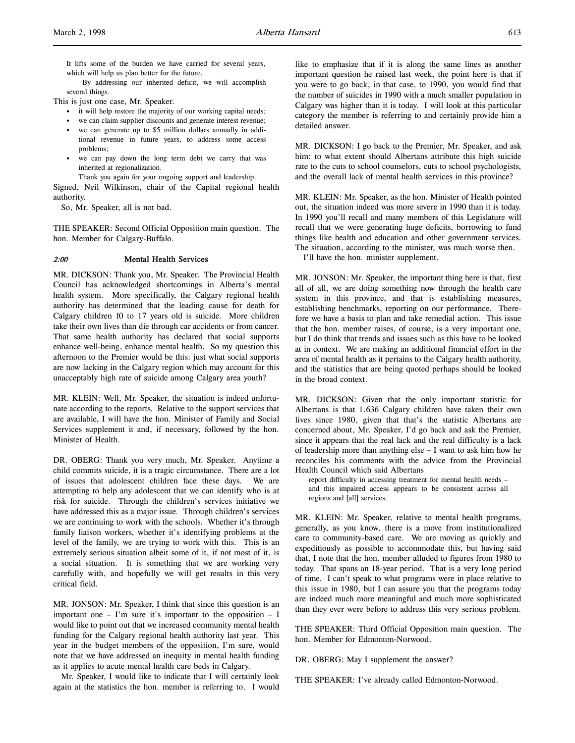It lifts some of the burden we have carried for several years, which will help us plan better for the future.

By addressing our inherited deficit, we will accomplish several things.

This is just one case, Mr. Speaker.

- it will help restore the majority of our working capital needs;
- we can claim supplier discounts and generate interest revenue;
- we can generate up to \$5 million dollars annually in additional revenue in future years, to address some access problems;
- we can pay down the long term debt we carry that was inherited at regionalization.

Thank you again for your ongoing support and leadership.

Signed, Neil Wilkinson, chair of the Capital regional health authority.

So, Mr. Speaker, all is not bad.

THE SPEAKER: Second Official Opposition main question. The hon. Member for Calgary-Buffalo.

#### 2:00 Mental Health Services

MR. DICKSON: Thank you, Mr. Speaker. The Provincial Health Council has acknowledged shortcomings in Alberta's mental health system. More specifically, the Calgary regional health authority has determined that the leading cause for death for Calgary children 10 to 17 years old is suicide. More children take their own lives than die through car accidents or from cancer. That same health authority has declared that social supports enhance well-being, enhance mental health. So my question this afternoon to the Premier would be this: just what social supports are now lacking in the Calgary region which may account for this unacceptably high rate of suicide among Calgary area youth?

MR. KLEIN: Well, Mr. Speaker, the situation is indeed unfortunate according to the reports. Relative to the support services that are available, I will have the hon. Minister of Family and Social Services supplement it and, if necessary, followed by the hon. Minister of Health.

DR. OBERG: Thank you very much, Mr. Speaker. Anytime a child commits suicide, it is a tragic circumstance. There are a lot of issues that adolescent children face these days. We are attempting to help any adolescent that we can identify who is at risk for suicide. Through the children's services initiative we have addressed this as a major issue. Through children's services we are continuing to work with the schools. Whether it's through family liaison workers, whether it's identifying problems at the level of the family, we are trying to work with this. This is an extremely serious situation albeit some of it, if not most of it, is a social situation. It is something that we are working very carefully with, and hopefully we will get results in this very critical field.

MR. JONSON: Mr. Speaker, I think that since this question is an important one – I'm sure it's important to the opposition – I would like to point out that we increased community mental health funding for the Calgary regional health authority last year. This year in the budget members of the opposition, I'm sure, would note that we have addressed an inequity in mental health funding as it applies to acute mental health care beds in Calgary.

Mr. Speaker, I would like to indicate that I will certainly look again at the statistics the hon. member is referring to. I would

like to emphasize that if it is along the same lines as another important question he raised last week, the point here is that if you were to go back, in that case, to 1990, you would find that the number of suicides in 1990 with a much smaller population in Calgary was higher than it is today. I will look at this particular category the member is referring to and certainly provide him a detailed answer.

MR. DICKSON: I go back to the Premier, Mr. Speaker, and ask him: to what extent should Albertans attribute this high suicide rate to the cuts to school counselors, cuts to school psychologists, and the overall lack of mental health services in this province?

MR. KLEIN: Mr. Speaker, as the hon. Minister of Health pointed out, the situation indeed was more severe in 1990 than it is today. In 1990 you'll recall and many members of this Legislature will recall that we were generating huge deficits, borrowing to fund things like health and education and other government services. The situation, according to the minister, was much worse then.

I'll have the hon. minister supplement.

MR. JONSON: Mr. Speaker, the important thing here is that, first all of all, we are doing something now through the health care system in this province, and that is establishing measures, establishing benchmarks, reporting on our performance. Therefore we have a basis to plan and take remedial action. This issue that the hon. member raises, of course, is a very important one, but I do think that trends and issues such as this have to be looked at in context. We are making an additional financial effort in the area of mental health as it pertains to the Calgary health authority, and the statistics that are being quoted perhaps should be looked in the broad context.

MR. DICKSON: Given that the only important statistic for Albertans is that 1,636 Calgary children have taken their own lives since 1980, given that that's the statistic Albertans are concerned about, Mr. Speaker, I'd go back and ask the Premier, since it appears that the real lack and the real difficulty is a lack of leadership more than anything else – I want to ask him how he reconciles his comments with the advice from the Provincial Health Council which said Albertans

report difficulty in accessing treatment for mental health needs – and this impaired access appears to be consistent across all regions and [all] services.

MR. KLEIN: Mr. Speaker, relative to mental health programs, generally, as you know, there is a move from institutionalized care to community-based care. We are moving as quickly and expeditiously as possible to accommodate this, but having said that, I note that the hon. member alluded to figures from 1980 to today. That spans an 18-year period. That is a very long period of time. I can't speak to what programs were in place relative to this issue in 1980, but I can assure you that the programs today are indeed much more meaningful and much more sophisticated than they ever were before to address this very serious problem.

THE SPEAKER: Third Official Opposition main question. The hon. Member for Edmonton-Norwood.

DR. OBERG: May I supplement the answer?

THE SPEAKER: I've already called Edmonton-Norwood.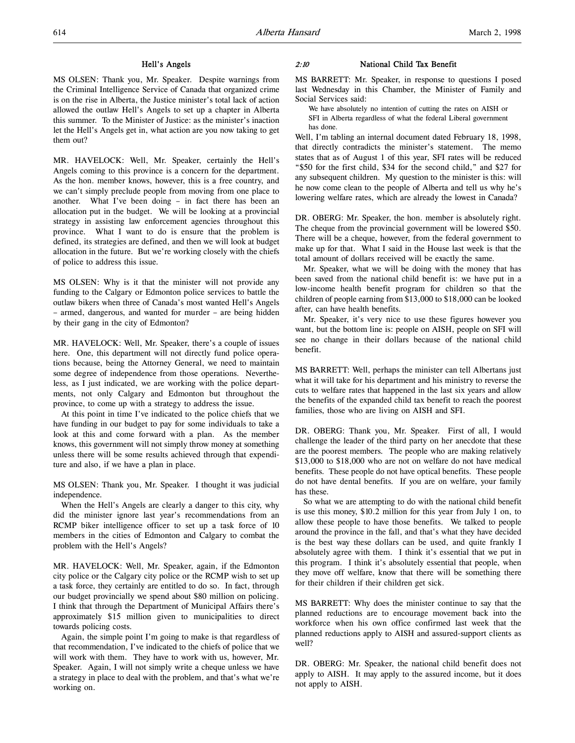### Hell's Angels

MS OLSEN: Thank you, Mr. Speaker. Despite warnings from the Criminal Intelligence Service of Canada that organized crime is on the rise in Alberta, the Justice minister's total lack of action allowed the outlaw Hell's Angels to set up a chapter in Alberta this summer. To the Minister of Justice: as the minister's inaction let the Hell's Angels get in, what action are you now taking to get them out?

MR. HAVELOCK: Well, Mr. Speaker, certainly the Hell's Angels coming to this province is a concern for the department. As the hon. member knows, however, this is a free country, and we can't simply preclude people from moving from one place to another. What I've been doing – in fact there has been an allocation put in the budget. We will be looking at a provincial strategy in assisting law enforcement agencies throughout this province. What I want to do is ensure that the problem is defined, its strategies are defined, and then we will look at budget allocation in the future. But we're working closely with the chiefs of police to address this issue.

MS OLSEN: Why is it that the minister will not provide any funding to the Calgary or Edmonton police services to battle the outlaw bikers when three of Canada's most wanted Hell's Angels – armed, dangerous, and wanted for murder – are being hidden by their gang in the city of Edmonton?

MR. HAVELOCK: Well, Mr. Speaker, there's a couple of issues here. One, this department will not directly fund police operations because, being the Attorney General, we need to maintain some degree of independence from those operations. Nevertheless, as I just indicated, we are working with the police departments, not only Calgary and Edmonton but throughout the province, to come up with a strategy to address the issue.

At this point in time I've indicated to the police chiefs that we have funding in our budget to pay for some individuals to take a look at this and come forward with a plan. As the member knows, this government will not simply throw money at something unless there will be some results achieved through that expenditure and also, if we have a plan in place.

MS OLSEN: Thank you, Mr. Speaker. I thought it was judicial independence.

When the Hell's Angels are clearly a danger to this city, why did the minister ignore last year's recommendations from an RCMP biker intelligence officer to set up a task force of 10 members in the cities of Edmonton and Calgary to combat the problem with the Hell's Angels?

MR. HAVELOCK: Well, Mr. Speaker, again, if the Edmonton city police or the Calgary city police or the RCMP wish to set up a task force, they certainly are entitled to do so. In fact, through our budget provincially we spend about \$80 million on policing. I think that through the Department of Municipal Affairs there's approximately \$15 million given to municipalities to direct towards policing costs.

Again, the simple point I'm going to make is that regardless of that recommendation, I've indicated to the chiefs of police that we will work with them. They have to work with us, however, Mr. Speaker. Again, I will not simply write a cheque unless we have a strategy in place to deal with the problem, and that's what we're working on.

#### 2:10 National Child Tax Benefit

MS BARRETT: Mr. Speaker, in response to questions I posed last Wednesday in this Chamber, the Minister of Family and Social Services said:

We have absolutely no intention of cutting the rates on AISH or SFI in Alberta regardless of what the federal Liberal government has done.

Well, I'm tabling an internal document dated February 18, 1998, that directly contradicts the minister's statement. The memo states that as of August 1 of this year, SFI rates will be reduced "\$50 for the first child, \$34 for the second child," and \$27 for any subsequent children. My question to the minister is this: will he now come clean to the people of Alberta and tell us why he's lowering welfare rates, which are already the lowest in Canada?

DR. OBERG: Mr. Speaker, the hon. member is absolutely right. The cheque from the provincial government will be lowered \$50. There will be a cheque, however, from the federal government to make up for that. What I said in the House last week is that the total amount of dollars received will be exactly the same.

Mr. Speaker, what we will be doing with the money that has been saved from the national child benefit is: we have put in a low-income health benefit program for children so that the children of people earning from \$13,000 to \$18,000 can be looked after, can have health benefits.

Mr. Speaker, it's very nice to use these figures however you want, but the bottom line is: people on AISH, people on SFI will see no change in their dollars because of the national child benefit.

MS BARRETT: Well, perhaps the minister can tell Albertans just what it will take for his department and his ministry to reverse the cuts to welfare rates that happened in the last six years and allow the benefits of the expanded child tax benefit to reach the poorest families, those who are living on AISH and SFI.

DR. OBERG: Thank you, Mr. Speaker. First of all, I would challenge the leader of the third party on her anecdote that these are the poorest members. The people who are making relatively \$13,000 to \$18,000 who are not on welfare do not have medical benefits. These people do not have optical benefits. These people do not have dental benefits. If you are on welfare, your family has these.

So what we are attempting to do with the national child benefit is use this money, \$10.2 million for this year from July 1 on, to allow these people to have those benefits. We talked to people around the province in the fall, and that's what they have decided is the best way these dollars can be used, and quite frankly I absolutely agree with them. I think it's essential that we put in this program. I think it's absolutely essential that people, when they move off welfare, know that there will be something there for their children if their children get sick.

MS BARRETT: Why does the minister continue to say that the planned reductions are to encourage movement back into the workforce when his own office confirmed last week that the planned reductions apply to AISH and assured-support clients as well?

DR. OBERG: Mr. Speaker, the national child benefit does not apply to AISH. It may apply to the assured income, but it does not apply to AISH.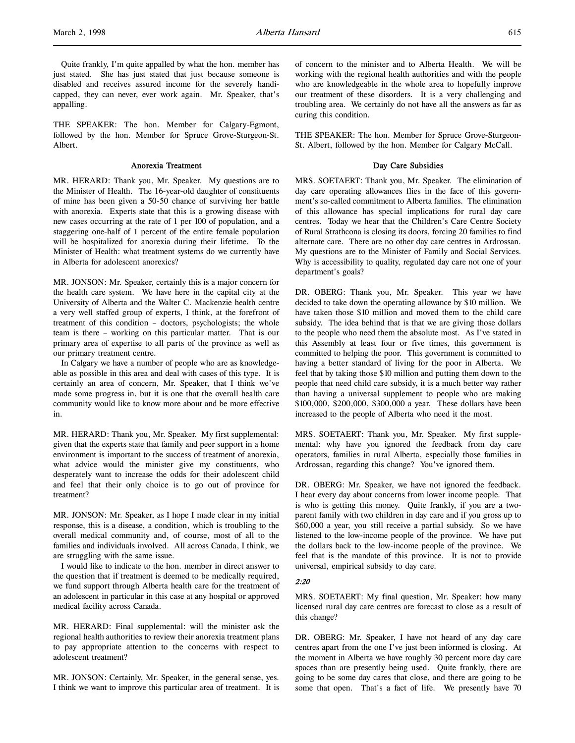Quite frankly, I'm quite appalled by what the hon. member has just stated. She has just stated that just because someone is disabled and receives assured income for the severely handicapped, they can never, ever work again. Mr. Speaker, that's appalling.

THE SPEAKER: The hon. Member for Calgary-Egmont, followed by the hon. Member for Spruce Grove-Sturgeon-St. Albert.

## Anorexia Treatment

MR. HERARD: Thank you, Mr. Speaker. My questions are to the Minister of Health. The 16-year-old daughter of constituents of mine has been given a 50-50 chance of surviving her battle with anorexia. Experts state that this is a growing disease with new cases occurring at the rate of 1 per 100 of population, and a staggering one-half of 1 percent of the entire female population will be hospitalized for anorexia during their lifetime. To the Minister of Health: what treatment systems do we currently have in Alberta for adolescent anorexics?

MR. JONSON: Mr. Speaker, certainly this is a major concern for the health care system. We have here in the capital city at the University of Alberta and the Walter C. Mackenzie health centre a very well staffed group of experts, I think, at the forefront of treatment of this condition – doctors, psychologists; the whole team is there – working on this particular matter. That is our primary area of expertise to all parts of the province as well as our primary treatment centre.

In Calgary we have a number of people who are as knowledgeable as possible in this area and deal with cases of this type. It is certainly an area of concern, Mr. Speaker, that I think we've made some progress in, but it is one that the overall health care community would like to know more about and be more effective in.

MR. HERARD: Thank you, Mr. Speaker. My first supplemental: given that the experts state that family and peer support in a home environment is important to the success of treatment of anorexia, what advice would the minister give my constituents, who desperately want to increase the odds for their adolescent child and feel that their only choice is to go out of province for treatment?

MR. JONSON: Mr. Speaker, as I hope I made clear in my initial response, this is a disease, a condition, which is troubling to the overall medical community and, of course, most of all to the families and individuals involved. All across Canada, I think, we are struggling with the same issue.

I would like to indicate to the hon. member in direct answer to the question that if treatment is deemed to be medically required, we fund support through Alberta health care for the treatment of an adolescent in particular in this case at any hospital or approved medical facility across Canada.

MR. HERARD: Final supplemental: will the minister ask the regional health authorities to review their anorexia treatment plans to pay appropriate attention to the concerns with respect to adolescent treatment?

MR. JONSON: Certainly, Mr. Speaker, in the general sense, yes. I think we want to improve this particular area of treatment. It is of concern to the minister and to Alberta Health. We will be working with the regional health authorities and with the people who are knowledgeable in the whole area to hopefully improve our treatment of these disorders. It is a very challenging and troubling area. We certainly do not have all the answers as far as curing this condition.

THE SPEAKER: The hon. Member for Spruce Grove-Sturgeon-St. Albert, followed by the hon. Member for Calgary McCall.

#### Day Care Subsidies

MRS. SOETAERT: Thank you, Mr. Speaker. The elimination of day care operating allowances flies in the face of this government's so-called commitment to Alberta families. The elimination of this allowance has special implications for rural day care centres. Today we hear that the Children's Care Centre Society of Rural Strathcona is closing its doors, forcing 20 families to find alternate care. There are no other day care centres in Ardrossan. My questions are to the Minister of Family and Social Services. Why is accessibility to quality, regulated day care not one of your department's goals?

DR. OBERG: Thank you, Mr. Speaker. This year we have decided to take down the operating allowance by \$10 million. We have taken those \$10 million and moved them to the child care subsidy. The idea behind that is that we are giving those dollars to the people who need them the absolute most. As I've stated in this Assembly at least four or five times, this government is committed to helping the poor. This government is committed to having a better standard of living for the poor in Alberta. We feel that by taking those \$10 million and putting them down to the people that need child care subsidy, it is a much better way rather than having a universal supplement to people who are making \$100,000, \$200,000, \$300,000 a year. These dollars have been increased to the people of Alberta who need it the most.

MRS. SOETAERT: Thank you, Mr. Speaker. My first supplemental: why have you ignored the feedback from day care operators, families in rural Alberta, especially those families in Ardrossan, regarding this change? You've ignored them.

DR. OBERG: Mr. Speaker, we have not ignored the feedback. I hear every day about concerns from lower income people. That is who is getting this money. Quite frankly, if you are a twoparent family with two children in day care and if you gross up to \$60,000 a year, you still receive a partial subsidy. So we have listened to the low-income people of the province. We have put the dollars back to the low-income people of the province. We feel that is the mandate of this province. It is not to provide universal, empirical subsidy to day care.

# 2:20

MRS. SOETAERT: My final question, Mr. Speaker: how many licensed rural day care centres are forecast to close as a result of this change?

DR. OBERG: Mr. Speaker, I have not heard of any day care centres apart from the one I've just been informed is closing. At the moment in Alberta we have roughly 30 percent more day care spaces than are presently being used. Quite frankly, there are going to be some day cares that close, and there are going to be some that open. That's a fact of life. We presently have 70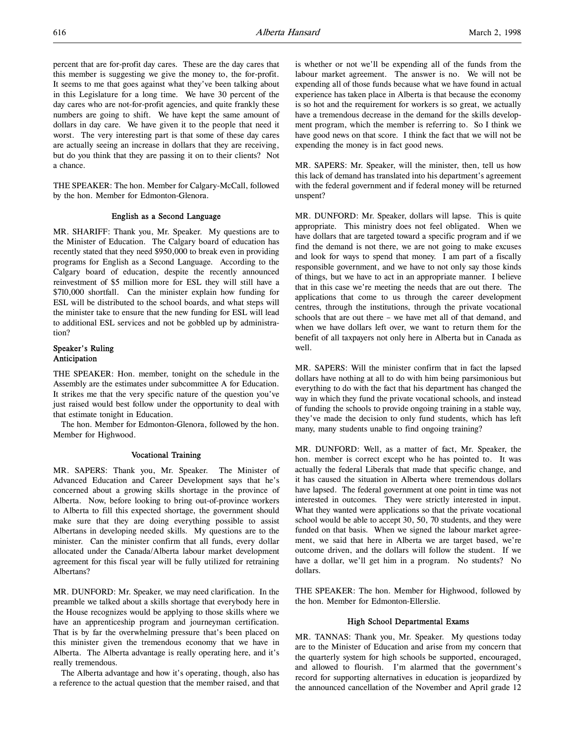percent that are for-profit day cares. These are the day cares that this member is suggesting we give the money to, the for-profit. It seems to me that goes against what they've been talking about in this Legislature for a long time. We have 30 percent of the day cares who are not-for-profit agencies, and quite frankly these numbers are going to shift. We have kept the same amount of dollars in day care. We have given it to the people that need it worst. The very interesting part is that some of these day cares are actually seeing an increase in dollars that they are receiving, but do you think that they are passing it on to their clients? Not a chance.

THE SPEAKER: The hon. Member for Calgary-McCall, followed by the hon. Member for Edmonton-Glenora.

# English as a Second Language

MR. SHARIFF: Thank you, Mr. Speaker. My questions are to the Minister of Education. The Calgary board of education has recently stated that they need \$950,000 to break even in providing programs for English as a Second Language. According to the Calgary board of education, despite the recently announced reinvestment of \$5 million more for ESL they will still have a \$710,000 shortfall. Can the minister explain how funding for ESL will be distributed to the school boards, and what steps will the minister take to ensure that the new funding for ESL will lead to additional ESL services and not be gobbled up by administration?

# Speaker's Ruling Anticipation

THE SPEAKER: Hon. member, tonight on the schedule in the Assembly are the estimates under subcommittee A for Education. It strikes me that the very specific nature of the question you've just raised would best follow under the opportunity to deal with that estimate tonight in Education.

The hon. Member for Edmonton-Glenora, followed by the hon. Member for Highwood.

# Vocational Training

MR. SAPERS: Thank you, Mr. Speaker. The Minister of Advanced Education and Career Development says that he's concerned about a growing skills shortage in the province of Alberta. Now, before looking to bring out-of-province workers to Alberta to fill this expected shortage, the government should make sure that they are doing everything possible to assist Albertans in developing needed skills. My questions are to the minister. Can the minister confirm that all funds, every dollar allocated under the Canada/Alberta labour market development agreement for this fiscal year will be fully utilized for retraining Albertans?

MR. DUNFORD: Mr. Speaker, we may need clarification. In the preamble we talked about a skills shortage that everybody here in the House recognizes would be applying to those skills where we have an apprenticeship program and journeyman certification. That is by far the overwhelming pressure that's been placed on this minister given the tremendous economy that we have in Alberta. The Alberta advantage is really operating here, and it's really tremendous.

The Alberta advantage and how it's operating, though, also has a reference to the actual question that the member raised, and that

is whether or not we'll be expending all of the funds from the labour market agreement. The answer is no. We will not be expending all of those funds because what we have found in actual experience has taken place in Alberta is that because the economy is so hot and the requirement for workers is so great, we actually have a tremendous decrease in the demand for the skills development program, which the member is referring to. So I think we have good news on that score. I think the fact that we will not be expending the money is in fact good news.

MR. SAPERS: Mr. Speaker, will the minister, then, tell us how this lack of demand has translated into his department's agreement with the federal government and if federal money will be returned unspent?

MR. DUNFORD: Mr. Speaker, dollars will lapse. This is quite appropriate. This ministry does not feel obligated. When we have dollars that are targeted toward a specific program and if we find the demand is not there, we are not going to make excuses and look for ways to spend that money. I am part of a fiscally responsible government, and we have to not only say those kinds of things, but we have to act in an appropriate manner. I believe that in this case we're meeting the needs that are out there. The applications that come to us through the career development centres, through the institutions, through the private vocational schools that are out there – we have met all of that demand, and when we have dollars left over, we want to return them for the benefit of all taxpayers not only here in Alberta but in Canada as well.

MR. SAPERS: Will the minister confirm that in fact the lapsed dollars have nothing at all to do with him being parsimonious but everything to do with the fact that his department has changed the way in which they fund the private vocational schools, and instead of funding the schools to provide ongoing training in a stable way, they've made the decision to only fund students, which has left many, many students unable to find ongoing training?

MR. DUNFORD: Well, as a matter of fact, Mr. Speaker, the hon. member is correct except who he has pointed to. It was actually the federal Liberals that made that specific change, and it has caused the situation in Alberta where tremendous dollars have lapsed. The federal government at one point in time was not interested in outcomes. They were strictly interested in input. What they wanted were applications so that the private vocational school would be able to accept 30, 50, 70 students, and they were funded on that basis. When we signed the labour market agreement, we said that here in Alberta we are target based, we're outcome driven, and the dollars will follow the student. If we have a dollar, we'll get him in a program. No students? No dollars.

THE SPEAKER: The hon. Member for Highwood, followed by the hon. Member for Edmonton-Ellerslie.

#### High School Departmental Exams

MR. TANNAS: Thank you, Mr. Speaker. My questions today are to the Minister of Education and arise from my concern that the quarterly system for high schools be supported, encouraged, and allowed to flourish. I'm alarmed that the government's record for supporting alternatives in education is jeopardized by the announced cancellation of the November and April grade 12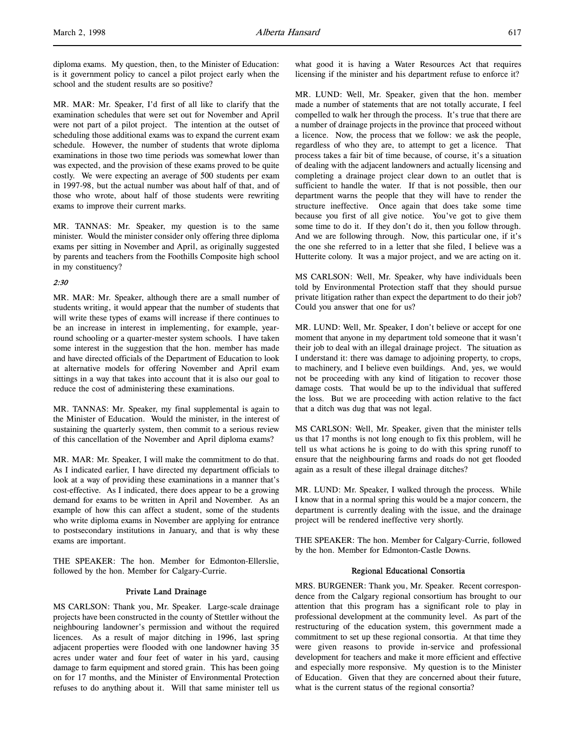diploma exams. My question, then, to the Minister of Education: is it government policy to cancel a pilot project early when the school and the student results are so positive?

MR. MAR: Mr. Speaker, I'd first of all like to clarify that the examination schedules that were set out for November and April were not part of a pilot project. The intention at the outset of scheduling those additional exams was to expand the current exam schedule. However, the number of students that wrote diploma examinations in those two time periods was somewhat lower than was expected, and the provision of these exams proved to be quite costly. We were expecting an average of 500 students per exam in 1997-98, but the actual number was about half of that, and of those who wrote, about half of those students were rewriting exams to improve their current marks.

MR. TANNAS: Mr. Speaker, my question is to the same minister. Would the minister consider only offering three diploma exams per sitting in November and April, as originally suggested by parents and teachers from the Foothills Composite high school in my constituency?

### 2:30

MR. MAR: Mr. Speaker, although there are a small number of students writing, it would appear that the number of students that will write these types of exams will increase if there continues to be an increase in interest in implementing, for example, yearround schooling or a quarter-mester system schools. I have taken some interest in the suggestion that the hon. member has made and have directed officials of the Department of Education to look at alternative models for offering November and April exam sittings in a way that takes into account that it is also our goal to reduce the cost of administering these examinations.

MR. TANNAS: Mr. Speaker, my final supplemental is again to the Minister of Education. Would the minister, in the interest of sustaining the quarterly system, then commit to a serious review of this cancellation of the November and April diploma exams?

MR. MAR: Mr. Speaker, I will make the commitment to do that. As I indicated earlier, I have directed my department officials to look at a way of providing these examinations in a manner that's cost-effective. As I indicated, there does appear to be a growing demand for exams to be written in April and November. As an example of how this can affect a student, some of the students who write diploma exams in November are applying for entrance to postsecondary institutions in January, and that is why these exams are important.

THE SPEAKER: The hon. Member for Edmonton-Ellerslie, followed by the hon. Member for Calgary-Currie.

# Private Land Drainage

MS CARLSON: Thank you, Mr. Speaker. Large-scale drainage projects have been constructed in the county of Stettler without the neighbouring landowner's permission and without the required licences. As a result of major ditching in 1996, last spring adjacent properties were flooded with one landowner having 35 acres under water and four feet of water in his yard, causing damage to farm equipment and stored grain. This has been going on for 17 months, and the Minister of Environmental Protection refuses to do anything about it. Will that same minister tell us

what good it is having a Water Resources Act that requires licensing if the minister and his department refuse to enforce it?

MR. LUND: Well, Mr. Speaker, given that the hon. member made a number of statements that are not totally accurate, I feel compelled to walk her through the process. It's true that there are a number of drainage projects in the province that proceed without a licence. Now, the process that we follow: we ask the people, regardless of who they are, to attempt to get a licence. That process takes a fair bit of time because, of course, it's a situation of dealing with the adjacent landowners and actually licensing and completing a drainage project clear down to an outlet that is sufficient to handle the water. If that is not possible, then our department warns the people that they will have to render the structure ineffective. Once again that does take some time because you first of all give notice. You've got to give them some time to do it. If they don't do it, then you follow through. And we are following through. Now, this particular one, if it's the one she referred to in a letter that she filed, I believe was a Hutterite colony. It was a major project, and we are acting on it.

MS CARLSON: Well, Mr. Speaker, why have individuals been told by Environmental Protection staff that they should pursue private litigation rather than expect the department to do their job? Could you answer that one for us?

MR. LUND: Well, Mr. Speaker, I don't believe or accept for one moment that anyone in my department told someone that it wasn't their job to deal with an illegal drainage project. The situation as I understand it: there was damage to adjoining property, to crops, to machinery, and I believe even buildings. And, yes, we would not be proceeding with any kind of litigation to recover those damage costs. That would be up to the individual that suffered the loss. But we are proceeding with action relative to the fact that a ditch was dug that was not legal.

MS CARLSON: Well, Mr. Speaker, given that the minister tells us that 17 months is not long enough to fix this problem, will he tell us what actions he is going to do with this spring runoff to ensure that the neighbouring farms and roads do not get flooded again as a result of these illegal drainage ditches?

MR. LUND: Mr. Speaker, I walked through the process. While I know that in a normal spring this would be a major concern, the department is currently dealing with the issue, and the drainage project will be rendered ineffective very shortly.

THE SPEAKER: The hon. Member for Calgary-Currie, followed by the hon. Member for Edmonton-Castle Downs.

#### Regional Educational Consortia

MRS. BURGENER: Thank you, Mr. Speaker. Recent correspondence from the Calgary regional consortium has brought to our attention that this program has a significant role to play in professional development at the community level. As part of the restructuring of the education system, this government made a commitment to set up these regional consortia. At that time they were given reasons to provide in-service and professional development for teachers and make it more efficient and effective and especially more responsive. My question is to the Minister of Education. Given that they are concerned about their future, what is the current status of the regional consortia?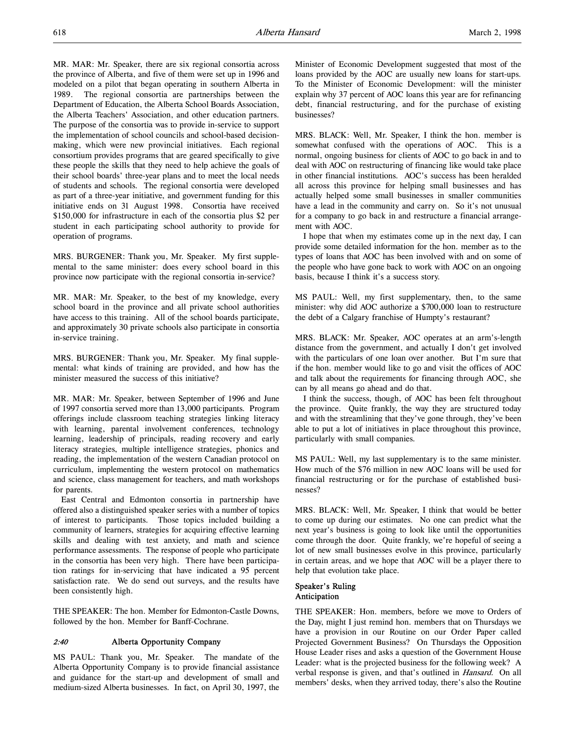MR. MAR: Mr. Speaker, there are six regional consortia across the province of Alberta, and five of them were set up in 1996 and modeled on a pilot that began operating in southern Alberta in 1989. The regional consortia are partnerships between the Department of Education, the Alberta School Boards Association, the Alberta Teachers' Association, and other education partners. The purpose of the consortia was to provide in-service to support the implementation of school councils and school-based decisionmaking, which were new provincial initiatives. Each regional consortium provides programs that are geared specifically to give these people the skills that they need to help achieve the goals of their school boards' three-year plans and to meet the local needs of students and schools. The regional consortia were developed as part of a three-year initiative, and government funding for this initiative ends on 31 August 1998. Consortia have received \$150,000 for infrastructure in each of the consortia plus \$2 per student in each participating school authority to provide for operation of programs.

MRS. BURGENER: Thank you, Mr. Speaker. My first supplemental to the same minister: does every school board in this province now participate with the regional consortia in-service?

MR. MAR: Mr. Speaker, to the best of my knowledge, every school board in the province and all private school authorities have access to this training. All of the school boards participate, and approximately 30 private schools also participate in consortia in-service training.

MRS. BURGENER: Thank you, Mr. Speaker. My final supplemental: what kinds of training are provided, and how has the minister measured the success of this initiative?

MR. MAR: Mr. Speaker, between September of 1996 and June of 1997 consortia served more than 13,000 participants. Program offerings include classroom teaching strategies linking literacy with learning, parental involvement conferences, technology learning, leadership of principals, reading recovery and early literacy strategies, multiple intelligence strategies, phonics and reading, the implementation of the western Canadian protocol on curriculum, implementing the western protocol on mathematics and science, class management for teachers, and math workshops for parents.

East Central and Edmonton consortia in partnership have offered also a distinguished speaker series with a number of topics of interest to participants. Those topics included building a community of learners, strategies for acquiring effective learning skills and dealing with test anxiety, and math and science performance assessments. The response of people who participate in the consortia has been very high. There have been participation ratings for in-servicing that have indicated a 95 percent satisfaction rate. We do send out surveys, and the results have been consistently high.

THE SPEAKER: The hon. Member for Edmonton-Castle Downs, followed by the hon. Member for Banff-Cochrane.

# 2:40 Alberta Opportunity Company

MS PAUL: Thank you, Mr. Speaker. The mandate of the Alberta Opportunity Company is to provide financial assistance and guidance for the start-up and development of small and medium-sized Alberta businesses. In fact, on April 30, 1997, the

Minister of Economic Development suggested that most of the loans provided by the AOC are usually new loans for start-ups. To the Minister of Economic Development: will the minister explain why 37 percent of AOC loans this year are for refinancing debt, financial restructuring, and for the purchase of existing businesses?

MRS. BLACK: Well, Mr. Speaker, I think the hon. member is somewhat confused with the operations of AOC. This is a normal, ongoing business for clients of AOC to go back in and to deal with AOC on restructuring of financing like would take place in other financial institutions. AOC's success has been heralded all across this province for helping small businesses and has actually helped some small businesses in smaller communities have a lead in the community and carry on. So it's not unusual for a company to go back in and restructure a financial arrangement with AOC.

I hope that when my estimates come up in the next day, I can provide some detailed information for the hon. member as to the types of loans that AOC has been involved with and on some of the people who have gone back to work with AOC on an ongoing basis, because I think it's a success story.

MS PAUL: Well, my first supplementary, then, to the same minister: why did AOC authorize a \$700,000 loan to restructure the debt of a Calgary franchise of Humpty's restaurant?

MRS. BLACK: Mr. Speaker, AOC operates at an arm's-length distance from the government, and actually I don't get involved with the particulars of one loan over another. But I'm sure that if the hon. member would like to go and visit the offices of AOC and talk about the requirements for financing through AOC, she can by all means go ahead and do that.

I think the success, though, of AOC has been felt throughout the province. Quite frankly, the way they are structured today and with the streamlining that they've gone through, they've been able to put a lot of initiatives in place throughout this province, particularly with small companies.

MS PAUL: Well, my last supplementary is to the same minister. How much of the \$76 million in new AOC loans will be used for financial restructuring or for the purchase of established businesses?

MRS. BLACK: Well, Mr. Speaker, I think that would be better to come up during our estimates. No one can predict what the next year's business is going to look like until the opportunities come through the door. Quite frankly, we're hopeful of seeing a lot of new small businesses evolve in this province, particularly in certain areas, and we hope that AOC will be a player there to help that evolution take place.

# Speaker's Ruling Anticipation

THE SPEAKER: Hon. members, before we move to Orders of the Day, might I just remind hon. members that on Thursdays we have a provision in our Routine on our Order Paper called Projected Government Business? On Thursdays the Opposition House Leader rises and asks a question of the Government House Leader: what is the projected business for the following week? A verbal response is given, and that's outlined in *Hansard*. On all members' desks, when they arrived today, there's also the Routine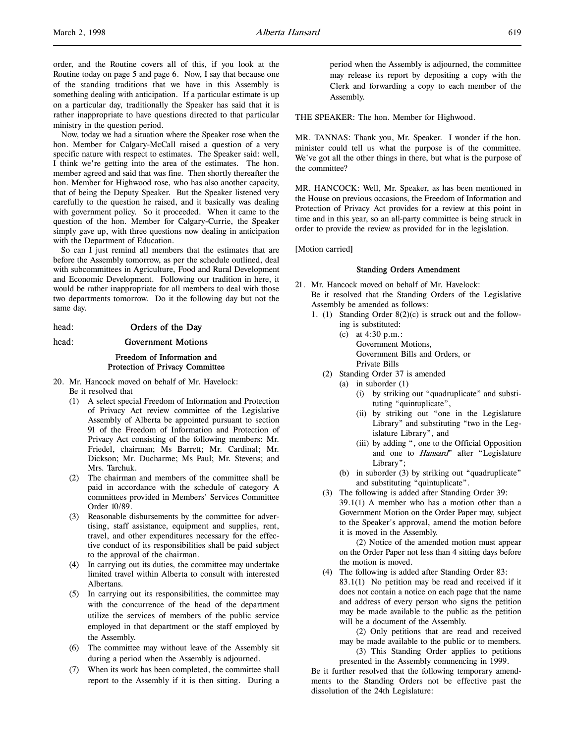order, and the Routine covers all of this, if you look at the Routine today on page 5 and page 6. Now, I say that because one of the standing traditions that we have in this Assembly is something dealing with anticipation. If a particular estimate is up on a particular day, traditionally the Speaker has said that it is rather inappropriate to have questions directed to that particular ministry in the question period.

Now, today we had a situation where the Speaker rose when the hon. Member for Calgary-McCall raised a question of a very specific nature with respect to estimates. The Speaker said: well, I think we're getting into the area of the estimates. The hon. member agreed and said that was fine. Then shortly thereafter the hon. Member for Highwood rose, who has also another capacity, that of being the Deputy Speaker. But the Speaker listened very carefully to the question he raised, and it basically was dealing with government policy. So it proceeded. When it came to the question of the hon. Member for Calgary-Currie, the Speaker simply gave up, with three questions now dealing in anticipation with the Department of Education.

So can I just remind all members that the estimates that are before the Assembly tomorrow, as per the schedule outlined, deal with subcommittees in Agriculture, Food and Rural Development and Economic Development. Following our tradition in here, it would be rather inappropriate for all members to deal with those two departments tomorrow. Do it the following day but not the same day.

# head: **Orders of the Day**

head: Government Motions

# Freedom of Information and Protection of Privacy Committee

- 20. Mr. Hancock moved on behalf of Mr. Havelock:
	- Be it resolved that
	- (1) A select special Freedom of Information and Protection of Privacy Act review committee of the Legislative Assembly of Alberta be appointed pursuant to section 91 of the Freedom of Information and Protection of Privacy Act consisting of the following members: Mr. Friedel, chairman; Ms Barrett; Mr. Cardinal; Mr. Dickson; Mr. Ducharme; Ms Paul; Mr. Stevens; and Mrs. Tarchuk.
	- (2) The chairman and members of the committee shall be paid in accordance with the schedule of category A committees provided in Members' Services Committee Order 10/89.
	- (3) Reasonable disbursements by the committee for advertising, staff assistance, equipment and supplies, rent, travel, and other expenditures necessary for the effective conduct of its responsibilities shall be paid subject to the approval of the chairman.
	- (4) In carrying out its duties, the committee may undertake limited travel within Alberta to consult with interested Albertans.
	- (5) In carrying out its responsibilities, the committee may with the concurrence of the head of the department utilize the services of members of the public service employed in that department or the staff employed by the Assembly.
	- (6) The committee may without leave of the Assembly sit during a period when the Assembly is adjourned.
	- (7) When its work has been completed, the committee shall report to the Assembly if it is then sitting. During a

period when the Assembly is adjourned, the committee may release its report by depositing a copy with the Clerk and forwarding a copy to each member of the Assembly.

THE SPEAKER: The hon. Member for Highwood.

MR. TANNAS: Thank you, Mr. Speaker. I wonder if the hon. minister could tell us what the purpose is of the committee. We've got all the other things in there, but what is the purpose of the committee?

MR. HANCOCK: Well, Mr. Speaker, as has been mentioned in the House on previous occasions, the Freedom of Information and Protection of Privacy Act provides for a review at this point in time and in this year, so an all-party committee is being struck in order to provide the review as provided for in the legislation.

[Motion carried]

#### Standing Orders Amendment

- 21. Mr. Hancock moved on behalf of Mr. Havelock: Be it resolved that the Standing Orders of the Legislative Assembly be amended as follows:
	- 1. (1) Standing Order 8(2)(c) is struck out and the follow
		- ing is substituted: (c) at 4:30 p.m.: Government Motions, Government Bills and Orders, or Private Bills
		- (2) Standing Order 37 is amended
			- (a) in suborder (1)
				- (i) by striking out "quadruplicate" and substituting "quintuplicate",
				- (ii) by striking out "one in the Legislature Library" and substituting "two in the Legislature Library", and
				- (iii) by adding ", one to the Official Opposition and one to Hansard" after "Legislature Library";
			- (b) in suborder (3) by striking out "quadruplicate" and substituting "quintuplicate".
		- (3) The following is added after Standing Order 39: 39.1(1) A member who has a motion other than a Government Motion on the Order Paper may, subject to the Speaker's approval, amend the motion before it is moved in the Assembly.

(2) Notice of the amended motion must appear on the Order Paper not less than 4 sitting days before the motion is moved.

(4) The following is added after Standing Order 83:

83.1(1) No petition may be read and received if it does not contain a notice on each page that the name and address of every person who signs the petition may be made available to the public as the petition will be a document of the Assembly.

(2) Only petitions that are read and received may be made available to the public or to members.

(3) This Standing Order applies to petitions presented in the Assembly commencing in 1999.

Be it further resolved that the following temporary amendments to the Standing Orders not be effective past the dissolution of the 24th Legislature: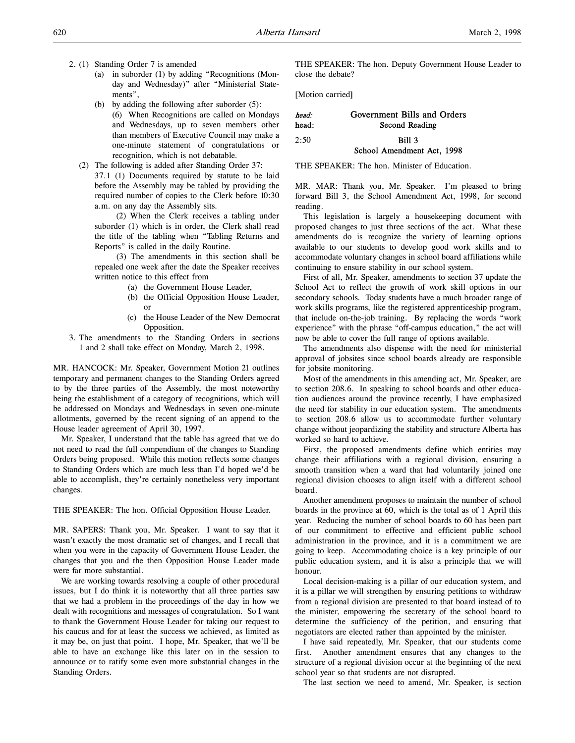- 2. (1) Standing Order 7 is amended
	- (a) in suborder (1) by adding "Recognitions (Monday and Wednesday)" after "Ministerial Statements",
	- (b) by adding the following after suborder (5): (6) When Recognitions are called on Mondays and Wednesdays, up to seven members other than members of Executive Council may make a one-minute statement of congratulations or recognition, which is not debatable.
	- (2) The following is added after Standing Order 37: 37.1 (1) Documents required by statute to be laid before the Assembly may be tabled by providing the required number of copies to the Clerk before 10:30 a.m. on any day the Assembly sits.

 (2) When the Clerk receives a tabling under suborder (1) which is in order, the Clerk shall read the title of the tabling when "Tabling Returns and Reports" is called in the daily Routine.

 (3) The amendments in this section shall be repealed one week after the date the Speaker receives written notice to this effect from

- (a) the Government House Leader,
- (b) the Official Opposition House Leader, or
- (c) the House Leader of the New Democrat Opposition.
- 3. The amendments to the Standing Orders in sections 1 and 2 shall take effect on Monday, March 2, 1998.

MR. HANCOCK: Mr. Speaker, Government Motion 21 outlines temporary and permanent changes to the Standing Orders agreed to by the three parties of the Assembly, the most noteworthy being the establishment of a category of recognitions, which will be addressed on Mondays and Wednesdays in seven one-minute allotments, governed by the recent signing of an append to the House leader agreement of April 30, 1997.

Mr. Speaker, I understand that the table has agreed that we do not need to read the full compendium of the changes to Standing Orders being proposed. While this motion reflects some changes to Standing Orders which are much less than I'd hoped we'd be able to accomplish, they're certainly nonetheless very important changes.

THE SPEAKER: The hon. Official Opposition House Leader.

MR. SAPERS: Thank you, Mr. Speaker. I want to say that it wasn't exactly the most dramatic set of changes, and I recall that when you were in the capacity of Government House Leader, the changes that you and the then Opposition House Leader made were far more substantial.

We are working towards resolving a couple of other procedural issues, but I do think it is noteworthy that all three parties saw that we had a problem in the proceedings of the day in how we dealt with recognitions and messages of congratulation. So I want to thank the Government House Leader for taking our request to his caucus and for at least the success we achieved, as limited as it may be, on just that point. I hope, Mr. Speaker, that we'll be able to have an exchange like this later on in the session to announce or to ratify some even more substantial changes in the Standing Orders.

THE SPEAKER: The hon. Deputy Government House Leader to close the debate?

[Motion carried]

# head: Government Bills and Orders head: Second Reading  $2.50$  Bill 3

## School Amendment Act, 1998

THE SPEAKER: The hon. Minister of Education.

MR. MAR: Thank you, Mr. Speaker. I'm pleased to bring forward Bill 3, the School Amendment Act, 1998, for second reading.

This legislation is largely a housekeeping document with proposed changes to just three sections of the act. What these amendments do is recognize the variety of learning options available to our students to develop good work skills and to accommodate voluntary changes in school board affiliations while continuing to ensure stability in our school system.

First of all, Mr. Speaker, amendments to section 37 update the School Act to reflect the growth of work skill options in our secondary schools. Today students have a much broader range of work skills programs, like the registered apprenticeship program, that include on-the-job training. By replacing the words "work experience" with the phrase "off-campus education," the act will now be able to cover the full range of options available.

The amendments also dispense with the need for ministerial approval of jobsites since school boards already are responsible for jobsite monitoring.

Most of the amendments in this amending act, Mr. Speaker, are to section 208.6. In speaking to school boards and other education audiences around the province recently, I have emphasized the need for stability in our education system. The amendments to section 208.6 allow us to accommodate further voluntary change without jeopardizing the stability and structure Alberta has worked so hard to achieve.

First, the proposed amendments define which entities may change their affiliations with a regional division, ensuring a smooth transition when a ward that had voluntarily joined one regional division chooses to align itself with a different school board.

Another amendment proposes to maintain the number of school boards in the province at 60, which is the total as of 1 April this year. Reducing the number of school boards to 60 has been part of our commitment to effective and efficient public school administration in the province, and it is a commitment we are going to keep. Accommodating choice is a key principle of our public education system, and it is also a principle that we will honour.

Local decision-making is a pillar of our education system, and it is a pillar we will strengthen by ensuring petitions to withdraw from a regional division are presented to that board instead of to the minister, empowering the secretary of the school board to determine the sufficiency of the petition, and ensuring that negotiators are elected rather than appointed by the minister.

I have said repeatedly, Mr. Speaker, that our students come first. Another amendment ensures that any changes to the structure of a regional division occur at the beginning of the next school year so that students are not disrupted.

The last section we need to amend, Mr. Speaker, is section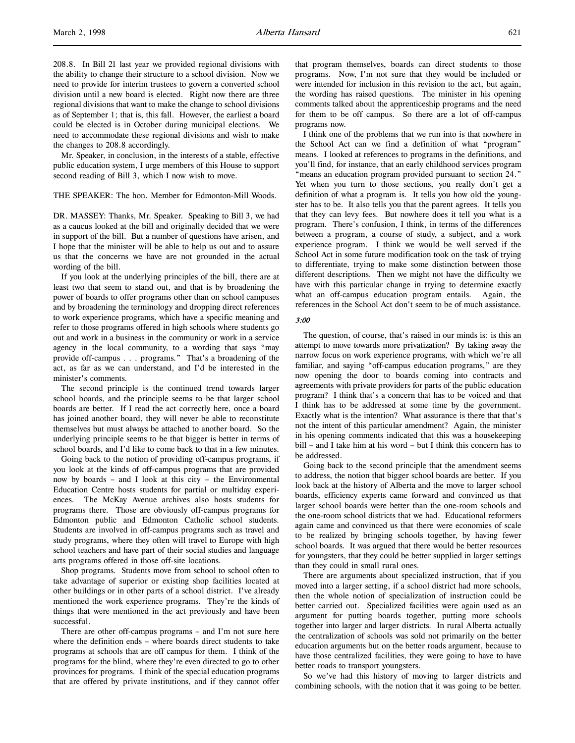208.8. In Bill 21 last year we provided regional divisions with the ability to change their structure to a school division. Now we need to provide for interim trustees to govern a converted school division until a new board is elected. Right now there are three regional divisions that want to make the change to school divisions as of September 1; that is, this fall. However, the earliest a board could be elected is in October during municipal elections. We need to accommodate these regional divisions and wish to make the changes to 208.8 accordingly.

Mr. Speaker, in conclusion, in the interests of a stable, effective public education system, I urge members of this House to support second reading of Bill 3, which I now wish to move.

THE SPEAKER: The hon. Member for Edmonton-Mill Woods.

DR. MASSEY: Thanks, Mr. Speaker. Speaking to Bill 3, we had as a caucus looked at the bill and originally decided that we were in support of the bill. But a number of questions have arisen, and I hope that the minister will be able to help us out and to assure us that the concerns we have are not grounded in the actual wording of the bill.

If you look at the underlying principles of the bill, there are at least two that seem to stand out, and that is by broadening the power of boards to offer programs other than on school campuses and by broadening the terminology and dropping direct references to work experience programs, which have a specific meaning and refer to those programs offered in high schools where students go out and work in a business in the community or work in a service agency in the local community, to a wording that says "may provide off-campus . . . programs." That's a broadening of the act, as far as we can understand, and I'd be interested in the minister's comments.

The second principle is the continued trend towards larger school boards, and the principle seems to be that larger school boards are better. If I read the act correctly here, once a board has joined another board, they will never be able to reconstitute themselves but must always be attached to another board. So the underlying principle seems to be that bigger is better in terms of school boards, and I'd like to come back to that in a few minutes.

Going back to the notion of providing off-campus programs, if you look at the kinds of off-campus programs that are provided now by boards – and I look at this city – the Environmental Education Centre hosts students for partial or multiday experiences. The McKay Avenue archives also hosts students for programs there. Those are obviously off-campus programs for Edmonton public and Edmonton Catholic school students. Students are involved in off-campus programs such as travel and study programs, where they often will travel to Europe with high school teachers and have part of their social studies and language arts programs offered in those off-site locations.

Shop programs. Students move from school to school often to take advantage of superior or existing shop facilities located at other buildings or in other parts of a school district. I've already mentioned the work experience programs. They're the kinds of things that were mentioned in the act previously and have been successful.

There are other off-campus programs – and I'm not sure here where the definition ends – where boards direct students to take programs at schools that are off campus for them. I think of the programs for the blind, where they're even directed to go to other provinces for programs. I think of the special education programs that are offered by private institutions, and if they cannot offer that program themselves, boards can direct students to those programs. Now, I'm not sure that they would be included or were intended for inclusion in this revision to the act, but again, the wording has raised questions. The minister in his opening comments talked about the apprenticeship programs and the need for them to be off campus. So there are a lot of off-campus programs now.

I think one of the problems that we run into is that nowhere in the School Act can we find a definition of what "program" means. I looked at references to programs in the definitions, and you'll find, for instance, that an early childhood services program "means an education program provided pursuant to section 24." Yet when you turn to those sections, you really don't get a definition of what a program is. It tells you how old the youngster has to be. It also tells you that the parent agrees. It tells you that they can levy fees. But nowhere does it tell you what is a program. There's confusion, I think, in terms of the differences between a program, a course of study, a subject, and a work experience program. I think we would be well served if the School Act in some future modification took on the task of trying to differentiate, trying to make some distinction between those different descriptions. Then we might not have the difficulty we have with this particular change in trying to determine exactly what an off-campus education program entails. Again, the references in the School Act don't seem to be of much assistance.

#### 3:00

The question, of course, that's raised in our minds is: is this an attempt to move towards more privatization? By taking away the narrow focus on work experience programs, with which we're all familiar, and saying "off-campus education programs," are they now opening the door to boards coming into contracts and agreements with private providers for parts of the public education program? I think that's a concern that has to be voiced and that I think has to be addressed at some time by the government. Exactly what is the intention? What assurance is there that that's not the intent of this particular amendment? Again, the minister in his opening comments indicated that this was a housekeeping bill – and I take him at his word – but I think this concern has to be addressed.

Going back to the second principle that the amendment seems to address, the notion that bigger school boards are better. If you look back at the history of Alberta and the move to larger school boards, efficiency experts came forward and convinced us that larger school boards were better than the one-room schools and the one-room school districts that we had. Educational reformers again came and convinced us that there were economies of scale to be realized by bringing schools together, by having fewer school boards. It was argued that there would be better resources for youngsters, that they could be better supplied in larger settings than they could in small rural ones.

There are arguments about specialized instruction, that if you moved into a larger setting, if a school district had more schools, then the whole notion of specialization of instruction could be better carried out. Specialized facilities were again used as an argument for putting boards together, putting more schools together into larger and larger districts. In rural Alberta actually the centralization of schools was sold not primarily on the better education arguments but on the better roads argument, because to have those centralized facilities, they were going to have to have better roads to transport youngsters.

So we've had this history of moving to larger districts and combining schools, with the notion that it was going to be better.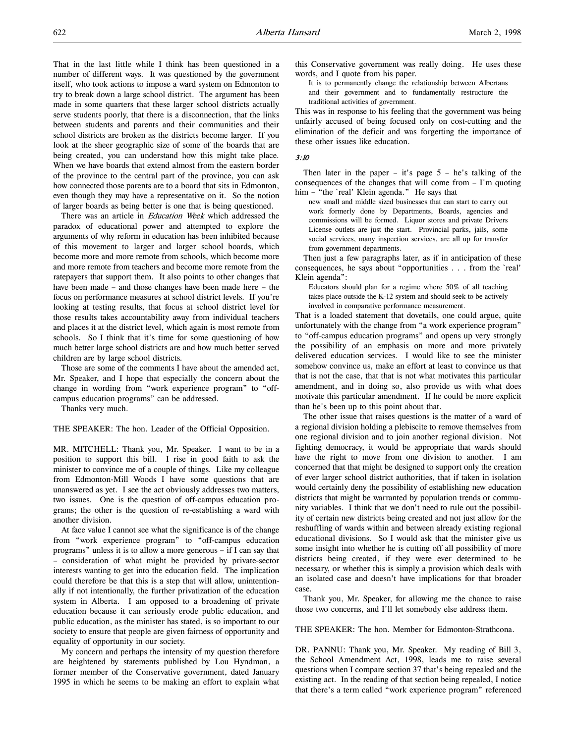That in the last little while I think has been questioned in a number of different ways. It was questioned by the government itself, who took actions to impose a ward system on Edmonton to try to break down a large school district. The argument has been made in some quarters that these larger school districts actually serve students poorly, that there is a disconnection, that the links between students and parents and their communities and their school districts are broken as the districts become larger. If you look at the sheer geographic size of some of the boards that are being created, you can understand how this might take place. When we have boards that extend almost from the eastern border of the province to the central part of the province, you can ask how connected those parents are to a board that sits in Edmonton, even though they may have a representative on it. So the notion of larger boards as being better is one that is being questioned.

There was an article in Education Week which addressed the paradox of educational power and attempted to explore the arguments of why reform in education has been inhibited because of this movement to larger and larger school boards, which become more and more remote from schools, which become more and more remote from teachers and become more remote from the ratepayers that support them. It also points to other changes that have been made – and those changes have been made here – the focus on performance measures at school district levels. If you're looking at testing results, that focus at school district level for those results takes accountability away from individual teachers and places it at the district level, which again is most remote from schools. So I think that it's time for some questioning of how much better large school districts are and how much better served children are by large school districts.

Those are some of the comments I have about the amended act, Mr. Speaker, and I hope that especially the concern about the change in wording from "work experience program" to "offcampus education programs" can be addressed.

Thanks very much.

THE SPEAKER: The hon. Leader of the Official Opposition.

MR. MITCHELL: Thank you, Mr. Speaker. I want to be in a position to support this bill. I rise in good faith to ask the minister to convince me of a couple of things. Like my colleague from Edmonton-Mill Woods I have some questions that are unanswered as yet. I see the act obviously addresses two matters, two issues. One is the question of off-campus education programs; the other is the question of re-establishing a ward with another division.

At face value I cannot see what the significance is of the change from "work experience program" to "off-campus education programs" unless it is to allow a more generous – if I can say that – consideration of what might be provided by private-sector interests wanting to get into the education field. The implication could therefore be that this is a step that will allow, unintentionally if not intentionally, the further privatization of the education system in Alberta. I am opposed to a broadening of private education because it can seriously erode public education, and public education, as the minister has stated, is so important to our society to ensure that people are given fairness of opportunity and equality of opportunity in our society.

My concern and perhaps the intensity of my question therefore are heightened by statements published by Lou Hyndman, a former member of the Conservative government, dated January 1995 in which he seems to be making an effort to explain what this Conservative government was really doing. He uses these words, and I quote from his paper.

It is to permanently change the relationship between Albertans and their government and to fundamentally restructure the traditional activities of government.

This was in response to his feeling that the government was being unfairly accused of being focused only on cost-cutting and the elimination of the deficit and was forgetting the importance of these other issues like education.

#### 3:10

Then later in the paper – it's page  $5$  – he's talking of the consequences of the changes that will come from – I'm quoting him – "the `real' Klein agenda." He says that

new small and middle sized businesses that can start to carry out work formerly done by Departments, Boards, agencies and commissions will be formed. Liquor stores and private Drivers License outlets are just the start. Provincial parks, jails, some social services, many inspection services, are all up for transfer from government departments.

Then just a few paragraphs later, as if in anticipation of these consequences, he says about "opportunities . . . from the `real' Klein agenda":

Educators should plan for a regime where 50% of all teaching takes place outside the K-12 system and should seek to be actively involved in comparative performance measurement.

That is a loaded statement that dovetails, one could argue, quite unfortunately with the change from "a work experience program" to "off-campus education programs" and opens up very strongly the possibility of an emphasis on more and more privately delivered education services. I would like to see the minister somehow convince us, make an effort at least to convince us that that is not the case, that that is not what motivates this particular amendment, and in doing so, also provide us with what does motivate this particular amendment. If he could be more explicit than he's been up to this point about that.

The other issue that raises questions is the matter of a ward of a regional division holding a plebiscite to remove themselves from one regional division and to join another regional division. Not fighting democracy, it would be appropriate that wards should have the right to move from one division to another. I am concerned that that might be designed to support only the creation of ever larger school district authorities, that if taken in isolation would certainly deny the possibility of establishing new education districts that might be warranted by population trends or community variables. I think that we don't need to rule out the possibility of certain new districts being created and not just allow for the reshuffling of wards within and between already existing regional educational divisions. So I would ask that the minister give us some insight into whether he is cutting off all possibility of more districts being created, if they were ever determined to be necessary, or whether this is simply a provision which deals with an isolated case and doesn't have implications for that broader case.

Thank you, Mr. Speaker, for allowing me the chance to raise those two concerns, and I'll let somebody else address them.

THE SPEAKER: The hon. Member for Edmonton-Strathcona.

DR. PANNU: Thank you, Mr. Speaker. My reading of Bill 3, the School Amendment Act, 1998, leads me to raise several questions when I compare section 37 that's being repealed and the existing act. In the reading of that section being repealed, I notice that there's a term called "work experience program" referenced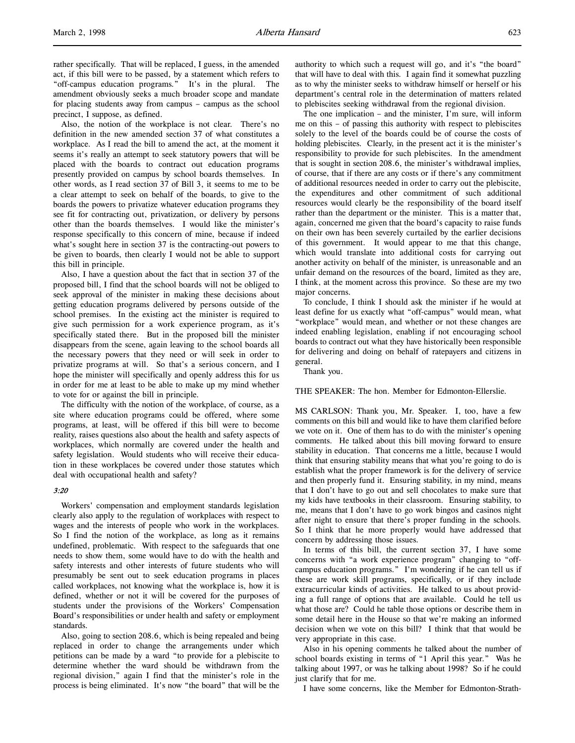rather specifically. That will be replaced, I guess, in the amended act, if this bill were to be passed, by a statement which refers to "off-campus education programs." It's in the plural. The amendment obviously seeks a much broader scope and mandate for placing students away from campus – campus as the school precinct, I suppose, as defined.

Also, the notion of the workplace is not clear. There's no definition in the new amended section 37 of what constitutes a workplace. As I read the bill to amend the act, at the moment it seems it's really an attempt to seek statutory powers that will be placed with the boards to contract out education programs presently provided on campus by school boards themselves. In other words, as I read section 37 of Bill 3, it seems to me to be a clear attempt to seek on behalf of the boards, to give to the boards the powers to privatize whatever education programs they see fit for contracting out, privatization, or delivery by persons other than the boards themselves. I would like the minister's response specifically to this concern of mine, because if indeed what's sought here in section 37 is the contracting-out powers to be given to boards, then clearly I would not be able to support this bill in principle.

Also, I have a question about the fact that in section 37 of the proposed bill, I find that the school boards will not be obliged to seek approval of the minister in making these decisions about getting education programs delivered by persons outside of the school premises. In the existing act the minister is required to give such permission for a work experience program, as it's specifically stated there. But in the proposed bill the minister disappears from the scene, again leaving to the school boards all the necessary powers that they need or will seek in order to privatize programs at will. So that's a serious concern, and I hope the minister will specifically and openly address this for us in order for me at least to be able to make up my mind whether to vote for or against the bill in principle.

The difficulty with the notion of the workplace, of course, as a site where education programs could be offered, where some programs, at least, will be offered if this bill were to become reality, raises questions also about the health and safety aspects of workplaces, which normally are covered under the health and safety legislation. Would students who will receive their education in these workplaces be covered under those statutes which deal with occupational health and safety?

### 3:20

Workers' compensation and employment standards legislation clearly also apply to the regulation of workplaces with respect to wages and the interests of people who work in the workplaces. So I find the notion of the workplace, as long as it remains undefined, problematic. With respect to the safeguards that one needs to show them, some would have to do with the health and safety interests and other interests of future students who will presumably be sent out to seek education programs in places called workplaces, not knowing what the workplace is, how it is defined, whether or not it will be covered for the purposes of students under the provisions of the Workers' Compensation Board's responsibilities or under health and safety or employment standards.

Also, going to section 208.6, which is being repealed and being replaced in order to change the arrangements under which petitions can be made by a ward "to provide for a plebiscite to determine whether the ward should be withdrawn from the regional division," again I find that the minister's role in the process is being eliminated. It's now "the board" that will be the

authority to which such a request will go, and it's "the board" that will have to deal with this. I again find it somewhat puzzling as to why the minister seeks to withdraw himself or herself or his department's central role in the determination of matters related to plebiscites seeking withdrawal from the regional division.

The one implication – and the minister, I'm sure, will inform me on this – of passing this authority with respect to plebiscites solely to the level of the boards could be of course the costs of holding plebiscites. Clearly, in the present act it is the minister's responsibility to provide for such plebiscites. In the amendment that is sought in section 208.6, the minister's withdrawal implies, of course, that if there are any costs or if there's any commitment of additional resources needed in order to carry out the plebiscite, the expenditures and other commitment of such additional resources would clearly be the responsibility of the board itself rather than the department or the minister. This is a matter that, again, concerned me given that the board's capacity to raise funds on their own has been severely curtailed by the earlier decisions of this government. It would appear to me that this change, which would translate into additional costs for carrying out another activity on behalf of the minister, is unreasonable and an unfair demand on the resources of the board, limited as they are, I think, at the moment across this province. So these are my two major concerns.

To conclude, I think I should ask the minister if he would at least define for us exactly what "off-campus" would mean, what "workplace" would mean, and whether or not these changes are indeed enabling legislation, enabling if not encouraging school boards to contract out what they have historically been responsible for delivering and doing on behalf of ratepayers and citizens in general.

Thank you.

THE SPEAKER: The hon. Member for Edmonton-Ellerslie.

MS CARLSON: Thank you, Mr. Speaker. I, too, have a few comments on this bill and would like to have them clarified before we vote on it. One of them has to do with the minister's opening comments. He talked about this bill moving forward to ensure stability in education. That concerns me a little, because I would think that ensuring stability means that what you're going to do is establish what the proper framework is for the delivery of service and then properly fund it. Ensuring stability, in my mind, means that I don't have to go out and sell chocolates to make sure that my kids have textbooks in their classroom. Ensuring stability, to me, means that I don't have to go work bingos and casinos night after night to ensure that there's proper funding in the schools. So I think that he more properly would have addressed that concern by addressing those issues.

In terms of this bill, the current section 37, I have some concerns with "a work experience program" changing to "offcampus education programs." I'm wondering if he can tell us if these are work skill programs, specifically, or if they include extracurricular kinds of activities. He talked to us about providing a full range of options that are available. Could he tell us what those are? Could he table those options or describe them in some detail here in the House so that we're making an informed decision when we vote on this bill? I think that that would be very appropriate in this case.

Also in his opening comments he talked about the number of school boards existing in terms of "1 April this year." Was he talking about 1997, or was he talking about 1998? So if he could just clarify that for me.

I have some concerns, like the Member for Edmonton-Strath-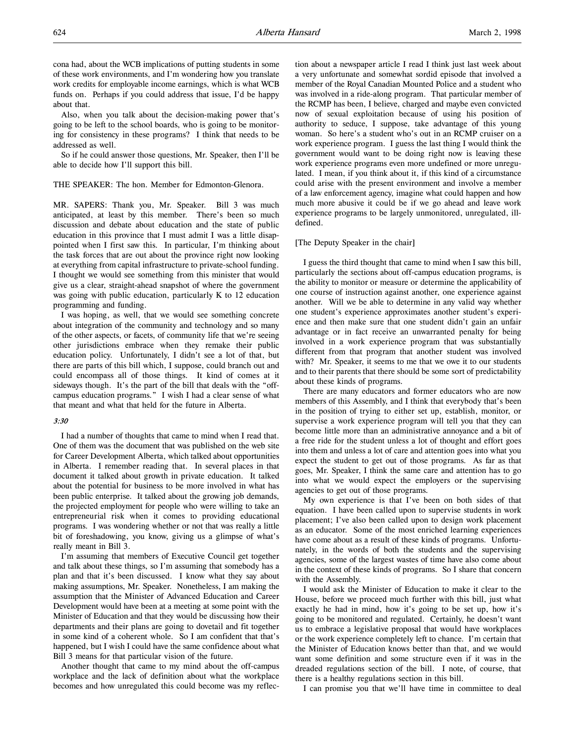cona had, about the WCB implications of putting students in some of these work environments, and I'm wondering how you translate work credits for employable income earnings, which is what WCB funds on. Perhaps if you could address that issue, I'd be happy about that.

Also, when you talk about the decision-making power that's going to be left to the school boards, who is going to be monitoring for consistency in these programs? I think that needs to be addressed as well.

So if he could answer those questions, Mr. Speaker, then I'll be able to decide how I'll support this bill.

#### THE SPEAKER: The hon. Member for Edmonton-Glenora.

MR. SAPERS: Thank you, Mr. Speaker. Bill 3 was much anticipated, at least by this member. There's been so much discussion and debate about education and the state of public education in this province that I must admit I was a little disappointed when I first saw this. In particular, I'm thinking about the task forces that are out about the province right now looking at everything from capital infrastructure to private-school funding. I thought we would see something from this minister that would give us a clear, straight-ahead snapshot of where the government was going with public education, particularly K to 12 education programming and funding.

I was hoping, as well, that we would see something concrete about integration of the community and technology and so many of the other aspects, or facets, of community life that we're seeing other jurisdictions embrace when they remake their public education policy. Unfortunately, I didn't see a lot of that, but there are parts of this bill which, I suppose, could branch out and could encompass all of those things. It kind of comes at it sideways though. It's the part of the bill that deals with the "offcampus education programs." I wish I had a clear sense of what that meant and what that held for the future in Alberta.

#### 3:30

I had a number of thoughts that came to mind when I read that. One of them was the document that was published on the web site for Career Development Alberta, which talked about opportunities in Alberta. I remember reading that. In several places in that document it talked about growth in private education. It talked about the potential for business to be more involved in what has been public enterprise. It talked about the growing job demands, the projected employment for people who were willing to take an entrepreneurial risk when it comes to providing educational programs. I was wondering whether or not that was really a little bit of foreshadowing, you know, giving us a glimpse of what's really meant in Bill 3.

I'm assuming that members of Executive Council get together and talk about these things, so I'm assuming that somebody has a plan and that it's been discussed. I know what they say about making assumptions, Mr. Speaker. Nonetheless, I am making the assumption that the Minister of Advanced Education and Career Development would have been at a meeting at some point with the Minister of Education and that they would be discussing how their departments and their plans are going to dovetail and fit together in some kind of a coherent whole. So I am confident that that's happened, but I wish I could have the same confidence about what Bill 3 means for that particular vision of the future.

Another thought that came to my mind about the off-campus workplace and the lack of definition about what the workplace becomes and how unregulated this could become was my reflection about a newspaper article I read I think just last week about a very unfortunate and somewhat sordid episode that involved a member of the Royal Canadian Mounted Police and a student who was involved in a ride-along program. That particular member of the RCMP has been, I believe, charged and maybe even convicted now of sexual exploitation because of using his position of authority to seduce, I suppose, take advantage of this young woman. So here's a student who's out in an RCMP cruiser on a work experience program. I guess the last thing I would think the government would want to be doing right now is leaving these work experience programs even more undefined or more unregulated. I mean, if you think about it, if this kind of a circumstance could arise with the present environment and involve a member of a law enforcement agency, imagine what could happen and how much more abusive it could be if we go ahead and leave work experience programs to be largely unmonitored, unregulated, illdefined.

#### [The Deputy Speaker in the chair]

I guess the third thought that came to mind when I saw this bill, particularly the sections about off-campus education programs, is the ability to monitor or measure or determine the applicability of one course of instruction against another, one experience against another. Will we be able to determine in any valid way whether one student's experience approximates another student's experience and then make sure that one student didn't gain an unfair advantage or in fact receive an unwarranted penalty for being involved in a work experience program that was substantially different from that program that another student was involved with? Mr. Speaker, it seems to me that we owe it to our students and to their parents that there should be some sort of predictability about these kinds of programs.

There are many educators and former educators who are now members of this Assembly, and I think that everybody that's been in the position of trying to either set up, establish, monitor, or supervise a work experience program will tell you that they can become little more than an administrative annoyance and a bit of a free ride for the student unless a lot of thought and effort goes into them and unless a lot of care and attention goes into what you expect the student to get out of those programs. As far as that goes, Mr. Speaker, I think the same care and attention has to go into what we would expect the employers or the supervising agencies to get out of those programs.

My own experience is that I've been on both sides of that equation. I have been called upon to supervise students in work placement; I've also been called upon to design work placement as an educator. Some of the most enriched learning experiences have come about as a result of these kinds of programs. Unfortunately, in the words of both the students and the supervising agencies, some of the largest wastes of time have also come about in the context of these kinds of programs. So I share that concern with the Assembly.

I would ask the Minister of Education to make it clear to the House, before we proceed much further with this bill, just what exactly he had in mind, how it's going to be set up, how it's going to be monitored and regulated. Certainly, he doesn't want us to embrace a legislative proposal that would have workplaces or the work experience completely left to chance. I'm certain that the Minister of Education knows better than that, and we would want some definition and some structure even if it was in the dreaded regulations section of the bill. I note, of course, that there is a healthy regulations section in this bill.

I can promise you that we'll have time in committee to deal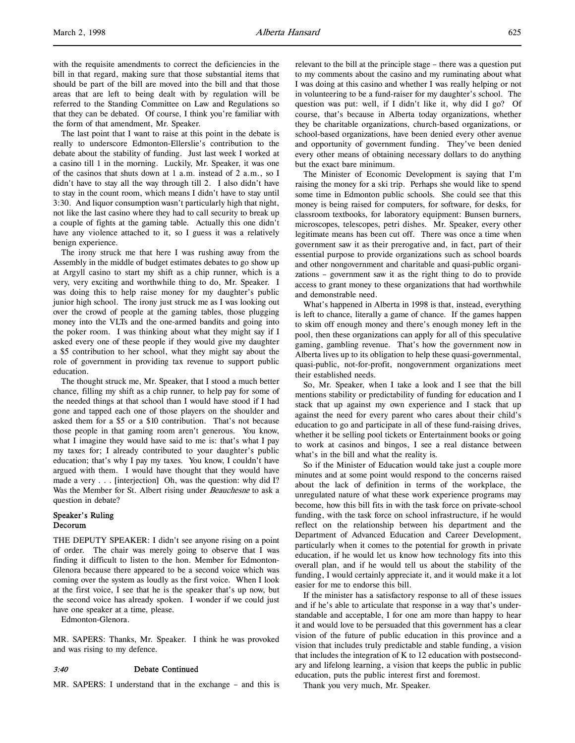with the requisite amendments to correct the deficiencies in the bill in that regard, making sure that those substantial items that should be part of the bill are moved into the bill and that those areas that are left to being dealt with by regulation will be referred to the Standing Committee on Law and Regulations so that they can be debated. Of course, I think you're familiar with the form of that amendment, Mr. Speaker.

The last point that I want to raise at this point in the debate is really to underscore Edmonton-Ellerslie's contribution to the debate about the stability of funding. Just last week I worked at a casino till 1 in the morning. Luckily, Mr. Speaker, it was one of the casinos that shuts down at 1 a.m. instead of 2 a.m., so I didn't have to stay all the way through till 2. I also didn't have to stay in the count room, which means I didn't have to stay until 3:30. And liquor consumption wasn't particularly high that night, not like the last casino where they had to call security to break up a couple of fights at the gaming table. Actually this one didn't have any violence attached to it, so I guess it was a relatively benign experience.

The irony struck me that here I was rushing away from the Assembly in the middle of budget estimates debates to go show up at Argyll casino to start my shift as a chip runner, which is a very, very exciting and worthwhile thing to do, Mr. Speaker. I was doing this to help raise money for my daughter's public junior high school. The irony just struck me as I was looking out over the crowd of people at the gaming tables, those plugging money into the VLTs and the one-armed bandits and going into the poker room. I was thinking about what they might say if I asked every one of these people if they would give my daughter a \$5 contribution to her school, what they might say about the role of government in providing tax revenue to support public education.

The thought struck me, Mr. Speaker, that I stood a much better chance, filling my shift as a chip runner, to help pay for some of the needed things at that school than I would have stood if I had gone and tapped each one of those players on the shoulder and asked them for a \$5 or a \$10 contribution. That's not because those people in that gaming room aren't generous. You know, what I imagine they would have said to me is: that's what I pay my taxes for; I already contributed to your daughter's public education; that's why I pay my taxes. You know, I couldn't have argued with them. I would have thought that they would have made a very . . . [interjection] Oh, was the question: why did I? Was the Member for St. Albert rising under Beauchesne to ask a question in debate?

# Speaker's Ruling Decorum

THE DEPUTY SPEAKER: I didn't see anyone rising on a point of order. The chair was merely going to observe that I was finding it difficult to listen to the hon. Member for Edmonton-Glenora because there appeared to be a second voice which was coming over the system as loudly as the first voice. When I look at the first voice, I see that he is the speaker that's up now, but the second voice has already spoken. I wonder if we could just have one speaker at a time, please.

Edmonton-Glenora.

MR. SAPERS: Thanks, Mr. Speaker. I think he was provoked and was rising to my defence.

#### 3:40 Debate Continued

MR. SAPERS: I understand that in the exchange – and this is

relevant to the bill at the principle stage – there was a question put to my comments about the casino and my ruminating about what I was doing at this casino and whether I was really helping or not in volunteering to be a fund-raiser for my daughter's school. The question was put: well, if I didn't like it, why did I go? Of course, that's because in Alberta today organizations, whether they be charitable organizations, church-based organizations, or school-based organizations, have been denied every other avenue and opportunity of government funding. They've been denied every other means of obtaining necessary dollars to do anything but the exact bare minimum.

The Minister of Economic Development is saying that I'm raising the money for a ski trip. Perhaps she would like to spend some time in Edmonton public schools. She could see that this money is being raised for computers, for software, for desks, for classroom textbooks, for laboratory equipment: Bunsen burners, microscopes, telescopes, petri dishes. Mr. Speaker, every other legitimate means has been cut off. There was once a time when government saw it as their prerogative and, in fact, part of their essential purpose to provide organizations such as school boards and other nongovernment and charitable and quasi-public organizations – government saw it as the right thing to do to provide access to grant money to these organizations that had worthwhile and demonstrable need.

What's happened in Alberta in 1998 is that, instead, everything is left to chance, literally a game of chance. If the games happen to skim off enough money and there's enough money left in the pool, then these organizations can apply for all of this speculative gaming, gambling revenue. That's how the government now in Alberta lives up to its obligation to help these quasi-governmental, quasi-public, not-for-profit, nongovernment organizations meet their established needs.

So, Mr. Speaker, when I take a look and I see that the bill mentions stability or predictability of funding for education and I stack that up against my own experience and I stack that up against the need for every parent who cares about their child's education to go and participate in all of these fund-raising drives, whether it be selling pool tickets or Entertainment books or going to work at casinos and bingos, I see a real distance between what's in the bill and what the reality is.

So if the Minister of Education would take just a couple more minutes and at some point would respond to the concerns raised about the lack of definition in terms of the workplace, the unregulated nature of what these work experience programs may become, how this bill fits in with the task force on private-school funding, with the task force on school infrastructure, if he would reflect on the relationship between his department and the Department of Advanced Education and Career Development, particularly when it comes to the potential for growth in private education, if he would let us know how technology fits into this overall plan, and if he would tell us about the stability of the funding, I would certainly appreciate it, and it would make it a lot easier for me to endorse this bill.

If the minister has a satisfactory response to all of these issues and if he's able to articulate that response in a way that's understandable and acceptable, I for one am more than happy to hear it and would love to be persuaded that this government has a clear vision of the future of public education in this province and a vision that includes truly predictable and stable funding, a vision that includes the integration of K to 12 education with postsecondary and lifelong learning, a vision that keeps the public in public education, puts the public interest first and foremost.

Thank you very much, Mr. Speaker.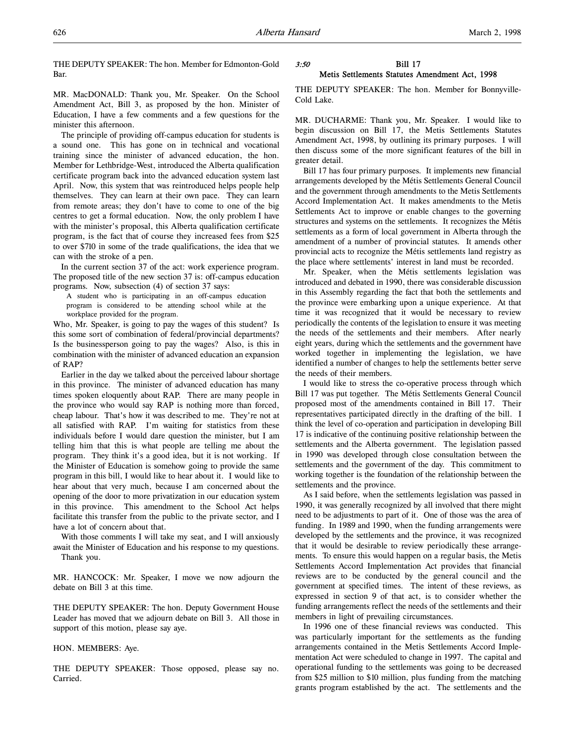THE DEPUTY SPEAKER: The hon. Member for Edmonton-Gold Bar.

MR. MacDONALD: Thank you, Mr. Speaker. On the School Amendment Act, Bill 3, as proposed by the hon. Minister of Education, I have a few comments and a few questions for the minister this afternoon.

The principle of providing off-campus education for students is a sound one. This has gone on in technical and vocational training since the minister of advanced education, the hon. Member for Lethbridge-West, introduced the Alberta qualification certificate program back into the advanced education system last April. Now, this system that was reintroduced helps people help themselves. They can learn at their own pace. They can learn from remote areas; they don't have to come to one of the big centres to get a formal education. Now, the only problem I have with the minister's proposal, this Alberta qualification certificate program, is the fact that of course they increased fees from \$25 to over \$710 in some of the trade qualifications, the idea that we can with the stroke of a pen.

In the current section 37 of the act: work experience program. The proposed title of the new section 37 is: off-campus education programs. Now, subsection (4) of section 37 says:

A student who is participating in an off-campus education program is considered to be attending school while at the workplace provided for the program.

Who, Mr. Speaker, is going to pay the wages of this student? Is this some sort of combination of federal/provincial departments? Is the businessperson going to pay the wages? Also, is this in combination with the minister of advanced education an expansion of RAP?

Earlier in the day we talked about the perceived labour shortage in this province. The minister of advanced education has many times spoken eloquently about RAP. There are many people in the province who would say RAP is nothing more than forced, cheap labour. That's how it was described to me. They're not at all satisfied with RAP. I'm waiting for statistics from these individuals before I would dare question the minister, but I am telling him that this is what people are telling me about the program. They think it's a good idea, but it is not working. If the Minister of Education is somehow going to provide the same program in this bill, I would like to hear about it. I would like to hear about that very much, because I am concerned about the opening of the door to more privatization in our education system in this province. This amendment to the School Act helps facilitate this transfer from the public to the private sector, and I have a lot of concern about that.

With those comments I will take my seat, and I will anxiously await the Minister of Education and his response to my questions. Thank you.

MR. HANCOCK: Mr. Speaker, I move we now adjourn the debate on Bill 3 at this time.

THE DEPUTY SPEAKER: The hon. Deputy Government House Leader has moved that we adjourn debate on Bill 3. All those in support of this motion, please say aye.

# HON. MEMBERS: Aye.

THE DEPUTY SPEAKER: Those opposed, please say no. Carried.

## 3:50 Bill 17 Metis Settlements Statutes Amendment Act, 1998

THE DEPUTY SPEAKER: The hon. Member for Bonnyville-Cold Lake.

MR. DUCHARME: Thank you, Mr. Speaker. I would like to begin discussion on Bill 17, the Metis Settlements Statutes Amendment Act, 1998, by outlining its primary purposes. I will then discuss some of the more significant features of the bill in greater detail.

Bill 17 has four primary purposes. It implements new financial arrangements developed by the Métis Settlements General Council and the government through amendments to the Metis Settlements Accord Implementation Act. It makes amendments to the Metis Settlements Act to improve or enable changes to the governing structures and systems on the settlements. It recognizes the Métis settlements as a form of local government in Alberta through the amendment of a number of provincial statutes. It amends other provincial acts to recognize the Métis settlements land registry as the place where settlements' interest in land must be recorded.

Mr. Speaker, when the Métis settlements legislation was introduced and debated in 1990, there was considerable discussion in this Assembly regarding the fact that both the settlements and the province were embarking upon a unique experience. At that time it was recognized that it would be necessary to review periodically the contents of the legislation to ensure it was meeting the needs of the settlements and their members. After nearly eight years, during which the settlements and the government have worked together in implementing the legislation, we have identified a number of changes to help the settlements better serve the needs of their members.

I would like to stress the co-operative process through which Bill 17 was put together. The Métis Settlements General Council proposed most of the amendments contained in Bill 17. Their representatives participated directly in the drafting of the bill. I think the level of co-operation and participation in developing Bill 17 is indicative of the continuing positive relationship between the settlements and the Alberta government. The legislation passed in 1990 was developed through close consultation between the settlements and the government of the day. This commitment to working together is the foundation of the relationship between the settlements and the province.

As I said before, when the settlements legislation was passed in 1990, it was generally recognized by all involved that there might need to be adjustments to part of it. One of those was the area of funding. In 1989 and 1990, when the funding arrangements were developed by the settlements and the province, it was recognized that it would be desirable to review periodically these arrangements. To ensure this would happen on a regular basis, the Metis Settlements Accord Implementation Act provides that financial reviews are to be conducted by the general council and the government at specified times. The intent of these reviews, as expressed in section 9 of that act, is to consider whether the funding arrangements reflect the needs of the settlements and their members in light of prevailing circumstances.

In 1996 one of these financial reviews was conducted. This was particularly important for the settlements as the funding arrangements contained in the Metis Settlements Accord Implementation Act were scheduled to change in 1997. The capital and operational funding to the settlements was going to be decreased from \$25 million to \$10 million, plus funding from the matching grants program established by the act. The settlements and the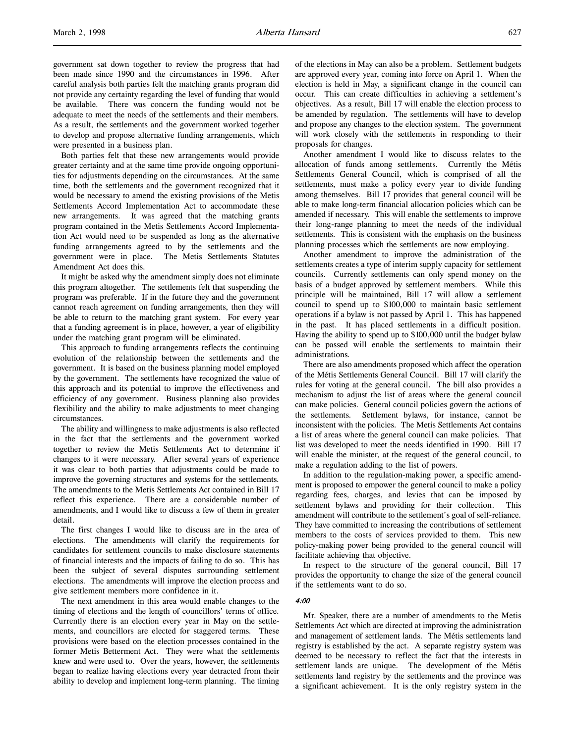government sat down together to review the progress that had been made since 1990 and the circumstances in 1996. After careful analysis both parties felt the matching grants program did not provide any certainty regarding the level of funding that would be available. There was concern the funding would not be adequate to meet the needs of the settlements and their members. As a result, the settlements and the government worked together to develop and propose alternative funding arrangements, which were presented in a business plan.

Both parties felt that these new arrangements would provide greater certainty and at the same time provide ongoing opportunities for adjustments depending on the circumstances. At the same time, both the settlements and the government recognized that it would be necessary to amend the existing provisions of the Metis Settlements Accord Implementation Act to accommodate these new arrangements. It was agreed that the matching grants program contained in the Metis Settlements Accord Implementation Act would need to be suspended as long as the alternative funding arrangements agreed to by the settlements and the government were in place. The Metis Settlements Statutes Amendment Act does this.

It might be asked why the amendment simply does not eliminate this program altogether. The settlements felt that suspending the program was preferable. If in the future they and the government cannot reach agreement on funding arrangements, then they will be able to return to the matching grant system. For every year that a funding agreement is in place, however, a year of eligibility under the matching grant program will be eliminated.

This approach to funding arrangements reflects the continuing evolution of the relationship between the settlements and the government. It is based on the business planning model employed by the government. The settlements have recognized the value of this approach and its potential to improve the effectiveness and efficiency of any government. Business planning also provides flexibility and the ability to make adjustments to meet changing circumstances.

The ability and willingness to make adjustments is also reflected in the fact that the settlements and the government worked together to review the Metis Settlements Act to determine if changes to it were necessary. After several years of experience it was clear to both parties that adjustments could be made to improve the governing structures and systems for the settlements. The amendments to the Metis Settlements Act contained in Bill 17 reflect this experience. There are a considerable number of amendments, and I would like to discuss a few of them in greater detail.

The first changes I would like to discuss are in the area of elections. The amendments will clarify the requirements for candidates for settlement councils to make disclosure statements of financial interests and the impacts of failing to do so. This has been the subject of several disputes surrounding settlement elections. The amendments will improve the election process and give settlement members more confidence in it.

The next amendment in this area would enable changes to the timing of elections and the length of councillors' terms of office. Currently there is an election every year in May on the settlements, and councillors are elected for staggered terms. These provisions were based on the election processes contained in the former Metis Betterment Act. They were what the settlements knew and were used to. Over the years, however, the settlements began to realize having elections every year detracted from their ability to develop and implement long-term planning. The timing

of the elections in May can also be a problem. Settlement budgets are approved every year, coming into force on April 1. When the election is held in May, a significant change in the council can occur. This can create difficulties in achieving a settlement's objectives. As a result, Bill 17 will enable the election process to be amended by regulation. The settlements will have to develop and propose any changes to the election system. The government will work closely with the settlements in responding to their proposals for changes.

Another amendment I would like to discuss relates to the allocation of funds among settlements. Currently the Métis Settlements General Council, which is comprised of all the settlements, must make a policy every year to divide funding among themselves. Bill 17 provides that general council will be able to make long-term financial allocation policies which can be amended if necessary. This will enable the settlements to improve their long-range planning to meet the needs of the individual settlements. This is consistent with the emphasis on the business planning processes which the settlements are now employing.

Another amendment to improve the administration of the settlements creates a type of interim supply capacity for settlement councils. Currently settlements can only spend money on the basis of a budget approved by settlement members. While this principle will be maintained, Bill 17 will allow a settlement council to spend up to \$100,000 to maintain basic settlement operations if a bylaw is not passed by April 1. This has happened in the past. It has placed settlements in a difficult position. Having the ability to spend up to \$100,000 until the budget bylaw can be passed will enable the settlements to maintain their administrations.

There are also amendments proposed which affect the operation of the Métis Settlements General Council. Bill 17 will clarify the rules for voting at the general council. The bill also provides a mechanism to adjust the list of areas where the general council can make policies. General council policies govern the actions of the settlements. Settlement bylaws, for instance, cannot be inconsistent with the policies. The Metis Settlements Act contains a list of areas where the general council can make policies. That list was developed to meet the needs identified in 1990. Bill 17 will enable the minister, at the request of the general council, to make a regulation adding to the list of powers.

In addition to the regulation-making power, a specific amendment is proposed to empower the general council to make a policy regarding fees, charges, and levies that can be imposed by settlement bylaws and providing for their collection. This amendment will contribute to the settlement's goal of self-reliance. They have committed to increasing the contributions of settlement members to the costs of services provided to them. This new policy-making power being provided to the general council will facilitate achieving that objective.

In respect to the structure of the general council, Bill 17 provides the opportunity to change the size of the general council if the settlements want to do so.

#### 4:00

Mr. Speaker, there are a number of amendments to the Metis Settlements Act which are directed at improving the administration and management of settlement lands. The Métis settlements land registry is established by the act. A separate registry system was deemed to be necessary to reflect the fact that the interests in settlement lands are unique. The development of the Métis settlements land registry by the settlements and the province was a significant achievement. It is the only registry system in the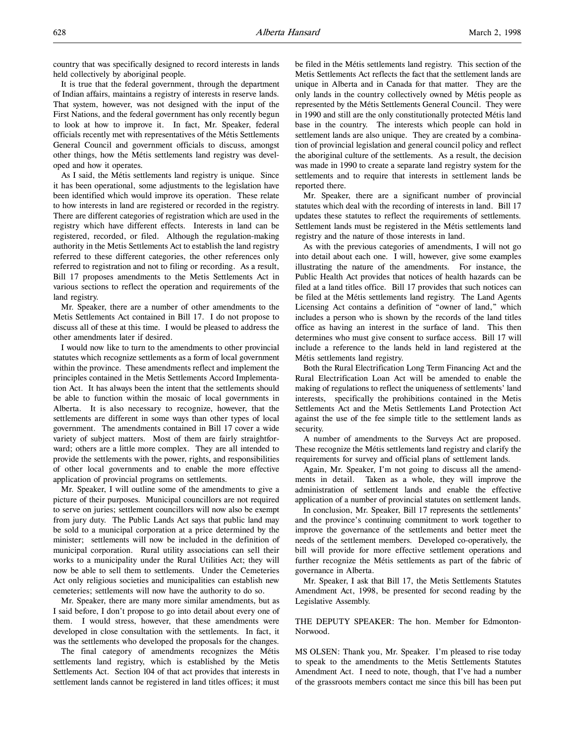It is true that the federal government, through the department of Indian affairs, maintains a registry of interests in reserve lands. That system, however, was not designed with the input of the First Nations, and the federal government has only recently begun to look at how to improve it. In fact, Mr. Speaker, federal officials recently met with representatives of the Métis Settlements General Council and government officials to discuss, amongst other things, how the Métis settlements land registry was developed and how it operates.

As I said, the Métis settlements land registry is unique. Since it has been operational, some adjustments to the legislation have been identified which would improve its operation. These relate to how interests in land are registered or recorded in the registry. There are different categories of registration which are used in the registry which have different effects. Interests in land can be registered, recorded, or filed. Although the regulation-making authority in the Metis Settlements Act to establish the land registry referred to these different categories, the other references only referred to registration and not to filing or recording. As a result, Bill 17 proposes amendments to the Metis Settlements Act in various sections to reflect the operation and requirements of the land registry.

Mr. Speaker, there are a number of other amendments to the Metis Settlements Act contained in Bill 17. I do not propose to discuss all of these at this time. I would be pleased to address the other amendments later if desired.

I would now like to turn to the amendments to other provincial statutes which recognize settlements as a form of local government within the province. These amendments reflect and implement the principles contained in the Metis Settlements Accord Implementation Act. It has always been the intent that the settlements should be able to function within the mosaic of local governments in Alberta. It is also necessary to recognize, however, that the settlements are different in some ways than other types of local government. The amendments contained in Bill 17 cover a wide variety of subject matters. Most of them are fairly straightforward; others are a little more complex. They are all intended to provide the settlements with the power, rights, and responsibilities of other local governments and to enable the more effective application of provincial programs on settlements.

Mr. Speaker, I will outline some of the amendments to give a picture of their purposes. Municipal councillors are not required to serve on juries; settlement councillors will now also be exempt from jury duty. The Public Lands Act says that public land may be sold to a municipal corporation at a price determined by the minister; settlements will now be included in the definition of municipal corporation. Rural utility associations can sell their works to a municipality under the Rural Utilities Act; they will now be able to sell them to settlements. Under the Cemeteries Act only religious societies and municipalities can establish new cemeteries; settlements will now have the authority to do so.

Mr. Speaker, there are many more similar amendments, but as I said before, I don't propose to go into detail about every one of them. I would stress, however, that these amendments were developed in close consultation with the settlements. In fact, it was the settlements who developed the proposals for the changes.

The final category of amendments recognizes the Métis settlements land registry, which is established by the Metis Settlements Act. Section 104 of that act provides that interests in settlement lands cannot be registered in land titles offices; it must

be filed in the Métis settlements land registry. This section of the Metis Settlements Act reflects the fact that the settlement lands are unique in Alberta and in Canada for that matter. They are the only lands in the country collectively owned by Métis people as represented by the Métis Settlements General Council. They were in 1990 and still are the only constitutionally protected Métis land base in the country. The interests which people can hold in settlement lands are also unique. They are created by a combination of provincial legislation and general council policy and reflect the aboriginal culture of the settlements. As a result, the decision was made in 1990 to create a separate land registry system for the settlements and to require that interests in settlement lands be reported there.

Mr. Speaker, there are a significant number of provincial statutes which deal with the recording of interests in land. Bill 17 updates these statutes to reflect the requirements of settlements. Settlement lands must be registered in the Métis settlements land registry and the nature of those interests in land.

As with the previous categories of amendments, I will not go into detail about each one. I will, however, give some examples illustrating the nature of the amendments. For instance, the Public Health Act provides that notices of health hazards can be filed at a land titles office. Bill 17 provides that such notices can be filed at the Métis settlements land registry. The Land Agents Licensing Act contains a definition of "owner of land," which includes a person who is shown by the records of the land titles office as having an interest in the surface of land. This then determines who must give consent to surface access. Bill 17 will include a reference to the lands held in land registered at the Métis settlements land registry.

Both the Rural Electrification Long Term Financing Act and the Rural Electrification Loan Act will be amended to enable the making of regulations to reflect the uniqueness of settlements' land interests, specifically the prohibitions contained in the Metis Settlements Act and the Metis Settlements Land Protection Act against the use of the fee simple title to the settlement lands as security.

A number of amendments to the Surveys Act are proposed. These recognize the Métis settlements land registry and clarify the requirements for survey and official plans of settlement lands.

Again, Mr. Speaker, I'm not going to discuss all the amendments in detail. Taken as a whole, they will improve the administration of settlement lands and enable the effective application of a number of provincial statutes on settlement lands.

In conclusion, Mr. Speaker, Bill 17 represents the settlements' and the province's continuing commitment to work together to improve the governance of the settlements and better meet the needs of the settlement members. Developed co-operatively, the bill will provide for more effective settlement operations and further recognize the Métis settlements as part of the fabric of governance in Alberta.

Mr. Speaker, I ask that Bill 17, the Metis Settlements Statutes Amendment Act, 1998, be presented for second reading by the Legislative Assembly.

THE DEPUTY SPEAKER: The hon. Member for Edmonton-Norwood.

MS OLSEN: Thank you, Mr. Speaker. I'm pleased to rise today to speak to the amendments to the Metis Settlements Statutes Amendment Act. I need to note, though, that I've had a number of the grassroots members contact me since this bill has been put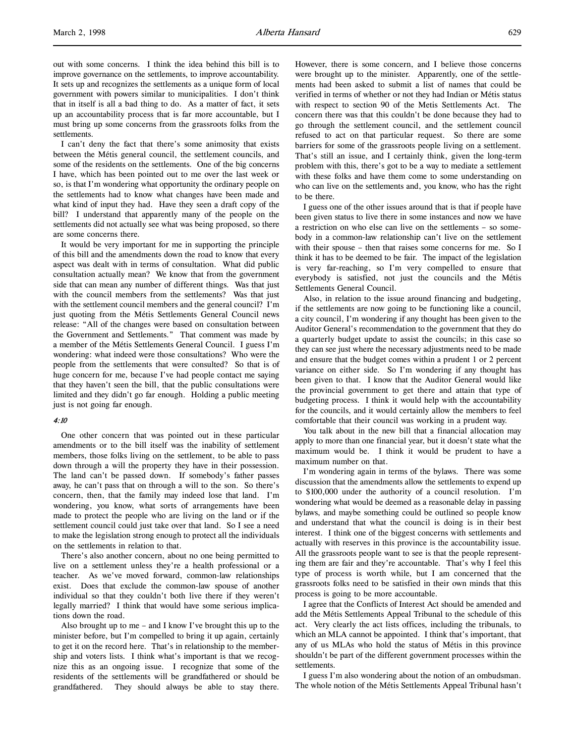out with some concerns. I think the idea behind this bill is to improve governance on the settlements, to improve accountability. It sets up and recognizes the settlements as a unique form of local government with powers similar to municipalities. I don't think that in itself is all a bad thing to do. As a matter of fact, it sets up an accountability process that is far more accountable, but I must bring up some concerns from the grassroots folks from the settlements.

I can't deny the fact that there's some animosity that exists between the Métis general council, the settlement councils, and some of the residents on the settlements. One of the big concerns I have, which has been pointed out to me over the last week or so, is that I'm wondering what opportunity the ordinary people on the settlements had to know what changes have been made and what kind of input they had. Have they seen a draft copy of the bill? I understand that apparently many of the people on the settlements did not actually see what was being proposed, so there are some concerns there.

It would be very important for me in supporting the principle of this bill and the amendments down the road to know that every aspect was dealt with in terms of consultation. What did public consultation actually mean? We know that from the government side that can mean any number of different things. Was that just with the council members from the settlements? Was that just with the settlement council members and the general council? I'm just quoting from the Métis Settlements General Council news release: "All of the changes were based on consultation between the Government and Settlements." That comment was made by a member of the Métis Settlements General Council. I guess I'm wondering: what indeed were those consultations? Who were the people from the settlements that were consulted? So that is of huge concern for me, because I've had people contact me saying that they haven't seen the bill, that the public consultations were limited and they didn't go far enough. Holding a public meeting just is not going far enough.

#### 4:10

One other concern that was pointed out in these particular amendments or to the bill itself was the inability of settlement members, those folks living on the settlement, to be able to pass down through a will the property they have in their possession. The land can't be passed down. If somebody's father passes away, he can't pass that on through a will to the son. So there's concern, then, that the family may indeed lose that land. I'm wondering, you know, what sorts of arrangements have been made to protect the people who are living on the land or if the settlement council could just take over that land. So I see a need to make the legislation strong enough to protect all the individuals on the settlements in relation to that.

There's also another concern, about no one being permitted to live on a settlement unless they're a health professional or a teacher. As we've moved forward, common-law relationships exist. Does that exclude the common-law spouse of another individual so that they couldn't both live there if they weren't legally married? I think that would have some serious implications down the road.

Also brought up to me – and I know I've brought this up to the minister before, but I'm compelled to bring it up again, certainly to get it on the record here. That's in relationship to the membership and voters lists. I think what's important is that we recognize this as an ongoing issue. I recognize that some of the residents of the settlements will be grandfathered or should be grandfathered. They should always be able to stay there.

However, there is some concern, and I believe those concerns were brought up to the minister. Apparently, one of the settlements had been asked to submit a list of names that could be verified in terms of whether or not they had Indian or Métis status with respect to section 90 of the Metis Settlements Act. The concern there was that this couldn't be done because they had to go through the settlement council, and the settlement council refused to act on that particular request. So there are some barriers for some of the grassroots people living on a settlement. That's still an issue, and I certainly think, given the long-term problem with this, there's got to be a way to mediate a settlement with these folks and have them come to some understanding on who can live on the settlements and, you know, who has the right to be there.

I guess one of the other issues around that is that if people have been given status to live there in some instances and now we have a restriction on who else can live on the settlements – so somebody in a common-law relationship can't live on the settlement with their spouse – then that raises some concerns for me. So I think it has to be deemed to be fair. The impact of the legislation is very far-reaching, so I'm very compelled to ensure that everybody is satisfied, not just the councils and the Métis Settlements General Council.

Also, in relation to the issue around financing and budgeting, if the settlements are now going to be functioning like a council, a city council, I'm wondering if any thought has been given to the Auditor General's recommendation to the government that they do a quarterly budget update to assist the councils; in this case so they can see just where the necessary adjustments need to be made and ensure that the budget comes within a prudent 1 or 2 percent variance on either side. So I'm wondering if any thought has been given to that. I know that the Auditor General would like the provincial government to get there and attain that type of budgeting process. I think it would help with the accountability for the councils, and it would certainly allow the members to feel comfortable that their council was working in a prudent way.

You talk about in the new bill that a financial allocation may apply to more than one financial year, but it doesn't state what the maximum would be. I think it would be prudent to have a maximum number on that.

I'm wondering again in terms of the bylaws. There was some discussion that the amendments allow the settlements to expend up to \$100,000 under the authority of a council resolution. I'm wondering what would be deemed as a reasonable delay in passing bylaws, and maybe something could be outlined so people know and understand that what the council is doing is in their best interest. I think one of the biggest concerns with settlements and actually with reserves in this province is the accountability issue. All the grassroots people want to see is that the people representing them are fair and they're accountable. That's why I feel this type of process is worth while, but I am concerned that the grassroots folks need to be satisfied in their own minds that this process is going to be more accountable.

I agree that the Conflicts of Interest Act should be amended and add the Métis Settlements Appeal Tribunal to the schedule of this act. Very clearly the act lists offices, including the tribunals, to which an MLA cannot be appointed. I think that's important, that any of us MLAs who hold the status of Métis in this province shouldn't be part of the different government processes within the settlements.

I guess I'm also wondering about the notion of an ombudsman. The whole notion of the Métis Settlements Appeal Tribunal hasn't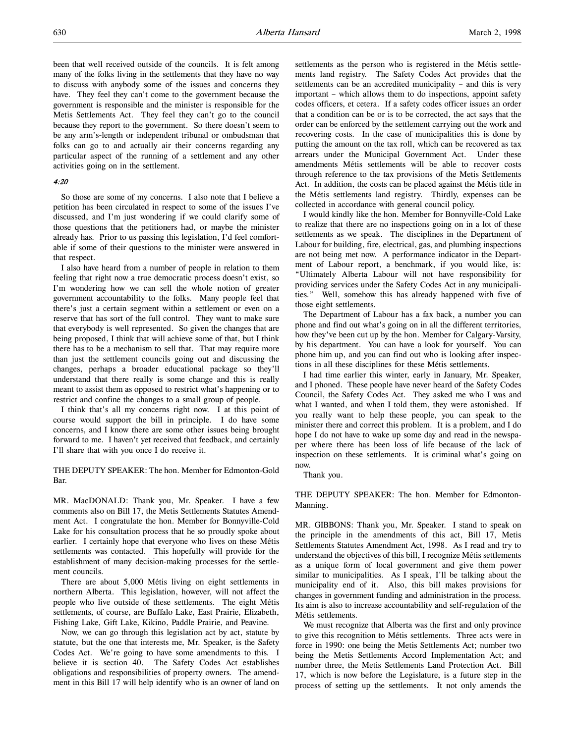been that well received outside of the councils. It is felt among many of the folks living in the settlements that they have no way to discuss with anybody some of the issues and concerns they have. They feel they can't come to the government because the government is responsible and the minister is responsible for the Metis Settlements Act. They feel they can't go to the council because they report to the government. So there doesn't seem to be any arm's-length or independent tribunal or ombudsman that folks can go to and actually air their concerns regarding any particular aspect of the running of a settlement and any other activities going on in the settlement.

# 4:20

So those are some of my concerns. I also note that I believe a petition has been circulated in respect to some of the issues I've discussed, and I'm just wondering if we could clarify some of those questions that the petitioners had, or maybe the minister already has. Prior to us passing this legislation, I'd feel comfortable if some of their questions to the minister were answered in that respect.

I also have heard from a number of people in relation to them feeling that right now a true democratic process doesn't exist, so I'm wondering how we can sell the whole notion of greater government accountability to the folks. Many people feel that there's just a certain segment within a settlement or even on a reserve that has sort of the full control. They want to make sure that everybody is well represented. So given the changes that are being proposed, I think that will achieve some of that, but I think there has to be a mechanism to sell that. That may require more than just the settlement councils going out and discussing the changes, perhaps a broader educational package so they'll understand that there really is some change and this is really meant to assist them as opposed to restrict what's happening or to restrict and confine the changes to a small group of people.

I think that's all my concerns right now. I at this point of course would support the bill in principle. I do have some concerns, and I know there are some other issues being brought forward to me. I haven't yet received that feedback, and certainly I'll share that with you once I do receive it.

THE DEPUTY SPEAKER: The hon. Member for Edmonton-Gold Bar.

MR. MacDONALD: Thank you, Mr. Speaker. I have a few comments also on Bill 17, the Metis Settlements Statutes Amendment Act. I congratulate the hon. Member for Bonnyville-Cold Lake for his consultation process that he so proudly spoke about earlier. I certainly hope that everyone who lives on these Métis settlements was contacted. This hopefully will provide for the establishment of many decision-making processes for the settlement councils.

There are about 5,000 Métis living on eight settlements in northern Alberta. This legislation, however, will not affect the people who live outside of these settlements. The eight Métis settlements, of course, are Buffalo Lake, East Prairie, Elizabeth, Fishing Lake, Gift Lake, Kikino, Paddle Prairie, and Peavine.

Now, we can go through this legislation act by act, statute by statute, but the one that interests me, Mr. Speaker, is the Safety Codes Act. We're going to have some amendments to this. I believe it is section 40. The Safety Codes Act establishes obligations and responsibilities of property owners. The amendment in this Bill 17 will help identify who is an owner of land on settlements as the person who is registered in the Métis settlements land registry. The Safety Codes Act provides that the settlements can be an accredited municipality – and this is very important – which allows them to do inspections, appoint safety codes officers, et cetera. If a safety codes officer issues an order that a condition can be or is to be corrected, the act says that the order can be enforced by the settlement carrying out the work and recovering costs. In the case of municipalities this is done by putting the amount on the tax roll, which can be recovered as tax arrears under the Municipal Government Act. Under these amendments Métis settlements will be able to recover costs through reference to the tax provisions of the Metis Settlements Act. In addition, the costs can be placed against the Métis title in the Métis settlements land registry. Thirdly, expenses can be collected in accordance with general council policy.

I would kindly like the hon. Member for Bonnyville-Cold Lake to realize that there are no inspections going on in a lot of these settlements as we speak. The disciplines in the Department of Labour for building, fire, electrical, gas, and plumbing inspections are not being met now. A performance indicator in the Department of Labour report, a benchmark, if you would like, is: "Ultimately Alberta Labour will not have responsibility for providing services under the Safety Codes Act in any municipalities." Well, somehow this has already happened with five of those eight settlements.

The Department of Labour has a fax back, a number you can phone and find out what's going on in all the different territories, how they've been cut up by the hon. Member for Calgary-Varsity, by his department. You can have a look for yourself. You can phone him up, and you can find out who is looking after inspections in all these disciplines for these Métis settlements.

I had time earlier this winter, early in January, Mr. Speaker, and I phoned. These people have never heard of the Safety Codes Council, the Safety Codes Act. They asked me who I was and what I wanted, and when I told them, they were astonished. If you really want to help these people, you can speak to the minister there and correct this problem. It is a problem, and I do hope I do not have to wake up some day and read in the newspaper where there has been loss of life because of the lack of inspection on these settlements. It is criminal what's going on now.

Thank you.

THE DEPUTY SPEAKER: The hon. Member for Edmonton-Manning.

MR. GIBBONS: Thank you, Mr. Speaker. I stand to speak on the principle in the amendments of this act, Bill 17, Metis Settlements Statutes Amendment Act, 1998. As I read and try to understand the objectives of this bill, I recognize Métis settlements as a unique form of local government and give them power similar to municipalities. As I speak, I'll be talking about the municipality end of it. Also, this bill makes provisions for changes in government funding and administration in the process. Its aim is also to increase accountability and self-regulation of the Métis settlements.

We must recognize that Alberta was the first and only province to give this recognition to Métis settlements. Three acts were in force in 1990: one being the Metis Settlements Act; number two being the Metis Settlements Accord Implementation Act; and number three, the Metis Settlements Land Protection Act. Bill 17, which is now before the Legislature, is a future step in the process of setting up the settlements. It not only amends the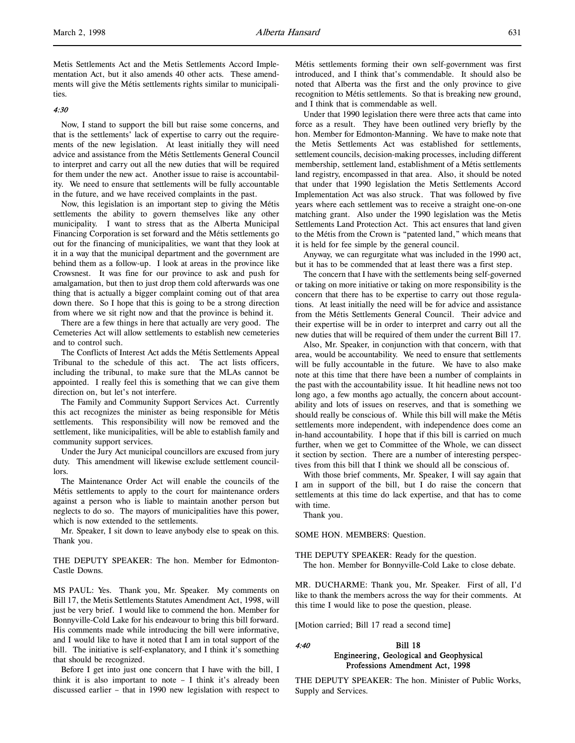Metis Settlements Act and the Metis Settlements Accord Implementation Act, but it also amends 40 other acts. These amendments will give the Métis settlements rights similar to municipalities.

# 4:30

Now, I stand to support the bill but raise some concerns, and that is the settlements' lack of expertise to carry out the requirements of the new legislation. At least initially they will need advice and assistance from the Métis Settlements General Council to interpret and carry out all the new duties that will be required for them under the new act. Another issue to raise is accountability. We need to ensure that settlements will be fully accountable in the future, and we have received complaints in the past.

Now, this legislation is an important step to giving the Métis settlements the ability to govern themselves like any other municipality. I want to stress that as the Alberta Municipal Financing Corporation is set forward and the Métis settlements go out for the financing of municipalities, we want that they look at it in a way that the municipal department and the government are behind them as a follow-up. I look at areas in the province like Crowsnest. It was fine for our province to ask and push for amalgamation, but then to just drop them cold afterwards was one thing that is actually a bigger complaint coming out of that area down there. So I hope that this is going to be a strong direction from where we sit right now and that the province is behind it.

There are a few things in here that actually are very good. The Cemeteries Act will allow settlements to establish new cemeteries and to control such.

The Conflicts of Interest Act adds the Métis Settlements Appeal Tribunal to the schedule of this act. The act lists officers, including the tribunal, to make sure that the MLAs cannot be appointed. I really feel this is something that we can give them direction on, but let's not interfere.

The Family and Community Support Services Act. Currently this act recognizes the minister as being responsible for Métis settlements. This responsibility will now be removed and the settlement, like municipalities, will be able to establish family and community support services.

Under the Jury Act municipal councillors are excused from jury duty. This amendment will likewise exclude settlement councillors.

The Maintenance Order Act will enable the councils of the Métis settlements to apply to the court for maintenance orders against a person who is liable to maintain another person but neglects to do so. The mayors of municipalities have this power, which is now extended to the settlements.

Mr. Speaker, I sit down to leave anybody else to speak on this. Thank you.

THE DEPUTY SPEAKER: The hon. Member for Edmonton-Castle Downs.

MS PAUL: Yes. Thank you, Mr. Speaker. My comments on Bill 17, the Metis Settlements Statutes Amendment Act, 1998, will just be very brief. I would like to commend the hon. Member for Bonnyville-Cold Lake for his endeavour to bring this bill forward. His comments made while introducing the bill were informative, and I would like to have it noted that I am in total support of the bill. The initiative is self-explanatory, and I think it's something that should be recognized.

Before I get into just one concern that I have with the bill, I think it is also important to note – I think it's already been discussed earlier – that in 1990 new legislation with respect to

Métis settlements forming their own self-government was first introduced, and I think that's commendable. It should also be noted that Alberta was the first and the only province to give recognition to Métis settlements. So that is breaking new ground, and I think that is commendable as well.

Under that 1990 legislation there were three acts that came into force as a result. They have been outlined very briefly by the hon. Member for Edmonton-Manning. We have to make note that the Metis Settlements Act was established for settlements, settlement councils, decision-making processes, including different membership, settlement land, establishment of a Métis settlements land registry, encompassed in that area. Also, it should be noted that under that 1990 legislation the Metis Settlements Accord Implementation Act was also struck. That was followed by five years where each settlement was to receive a straight one-on-one matching grant. Also under the 1990 legislation was the Metis Settlements Land Protection Act. This act ensures that land given to the Métis from the Crown is "patented land," which means that it is held for fee simple by the general council.

Anyway, we can regurgitate what was included in the 1990 act, but it has to be commended that at least there was a first step.

The concern that I have with the settlements being self-governed or taking on more initiative or taking on more responsibility is the concern that there has to be expertise to carry out those regulations. At least initially the need will be for advice and assistance from the Métis Settlements General Council. Their advice and their expertise will be in order to interpret and carry out all the new duties that will be required of them under the current Bill 17.

Also, Mr. Speaker, in conjunction with that concern, with that area, would be accountability. We need to ensure that settlements will be fully accountable in the future. We have to also make note at this time that there have been a number of complaints in the past with the accountability issue. It hit headline news not too long ago, a few months ago actually, the concern about accountability and lots of issues on reserves, and that is something we should really be conscious of. While this bill will make the Métis settlements more independent, with independence does come an in-hand accountability. I hope that if this bill is carried on much further, when we get to Committee of the Whole, we can dissect it section by section. There are a number of interesting perspectives from this bill that I think we should all be conscious of.

With those brief comments, Mr. Speaker, I will say again that I am in support of the bill, but I do raise the concern that settlements at this time do lack expertise, and that has to come with time.

Thank you.

SOME HON. MEMBERS: Question.

THE DEPUTY SPEAKER: Ready for the question. The hon. Member for Bonnyville-Cold Lake to close debate.

MR. DUCHARME: Thank you, Mr. Speaker. First of all, I'd like to thank the members across the way for their comments. At this time I would like to pose the question, please.

[Motion carried; Bill 17 read a second time]

# 4:40 Bill 18 Engineering, Geological and Geophysical Professions Amendment Act, 1998

THE DEPUTY SPEAKER: The hon. Minister of Public Works, Supply and Services.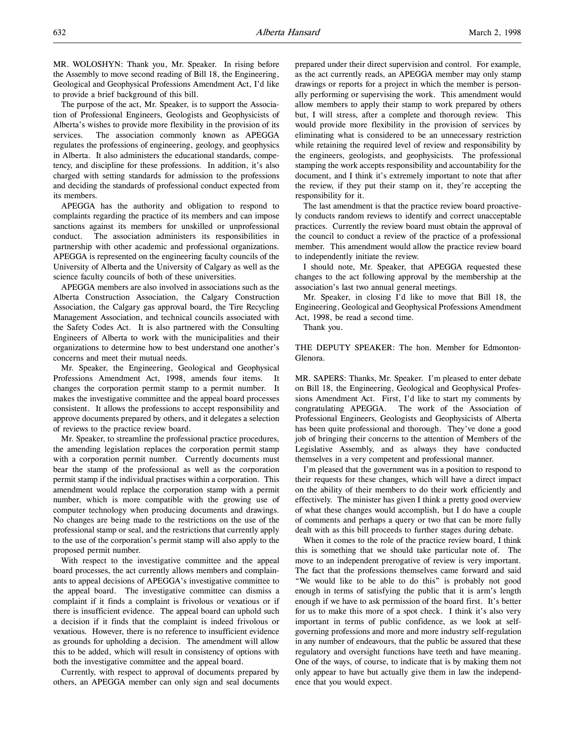MR. WOLOSHYN: Thank you, Mr. Speaker. In rising before the Assembly to move second reading of Bill 18, the Engineering, Geological and Geophysical Professions Amendment Act, I'd like to provide a brief background of this bill.

The purpose of the act, Mr. Speaker, is to support the Association of Professional Engineers, Geologists and Geophysicists of Alberta's wishes to provide more flexibility in the provision of its services. The association commonly known as APEGGA regulates the professions of engineering, geology, and geophysics in Alberta. It also administers the educational standards, competency, and discipline for these professions. In addition, it's also charged with setting standards for admission to the professions and deciding the standards of professional conduct expected from its members.

APEGGA has the authority and obligation to respond to complaints regarding the practice of its members and can impose sanctions against its members for unskilled or unprofessional conduct. The association administers its responsibilities in partnership with other academic and professional organizations. APEGGA is represented on the engineering faculty councils of the University of Alberta and the University of Calgary as well as the science faculty councils of both of these universities.

APEGGA members are also involved in associations such as the Alberta Construction Association, the Calgary Construction Association, the Calgary gas approval board, the Tire Recycling Management Association, and technical councils associated with the Safety Codes Act. It is also partnered with the Consulting Engineers of Alberta to work with the municipalities and their organizations to determine how to best understand one another's concerns and meet their mutual needs.

Mr. Speaker, the Engineering, Geological and Geophysical Professions Amendment Act, 1998, amends four items. It changes the corporation permit stamp to a permit number. It makes the investigative committee and the appeal board processes consistent. It allows the professions to accept responsibility and approve documents prepared by others, and it delegates a selection of reviews to the practice review board.

Mr. Speaker, to streamline the professional practice procedures, the amending legislation replaces the corporation permit stamp with a corporation permit number. Currently documents must bear the stamp of the professional as well as the corporation permit stamp if the individual practises within a corporation. This amendment would replace the corporation stamp with a permit number, which is more compatible with the growing use of computer technology when producing documents and drawings. No changes are being made to the restrictions on the use of the professional stamp or seal, and the restrictions that currently apply to the use of the corporation's permit stamp will also apply to the proposed permit number.

With respect to the investigative committee and the appeal board processes, the act currently allows members and complainants to appeal decisions of APEGGA's investigative committee to the appeal board. The investigative committee can dismiss a complaint if it finds a complaint is frivolous or vexatious or if there is insufficient evidence. The appeal board can uphold such a decision if it finds that the complaint is indeed frivolous or vexatious. However, there is no reference to insufficient evidence as grounds for upholding a decision. The amendment will allow this to be added, which will result in consistency of options with both the investigative committee and the appeal board.

Currently, with respect to approval of documents prepared by others, an APEGGA member can only sign and seal documents prepared under their direct supervision and control. For example, as the act currently reads, an APEGGA member may only stamp drawings or reports for a project in which the member is personally performing or supervising the work. This amendment would allow members to apply their stamp to work prepared by others but, I will stress, after a complete and thorough review. This would provide more flexibility in the provision of services by eliminating what is considered to be an unnecessary restriction while retaining the required level of review and responsibility by the engineers, geologists, and geophysicists. The professional stamping the work accepts responsibility and accountability for the document, and I think it's extremely important to note that after the review, if they put their stamp on it, they're accepting the responsibility for it.

The last amendment is that the practice review board proactively conducts random reviews to identify and correct unacceptable practices. Currently the review board must obtain the approval of the council to conduct a review of the practice of a professional member. This amendment would allow the practice review board to independently initiate the review.

I should note, Mr. Speaker, that APEGGA requested these changes to the act following approval by the membership at the association's last two annual general meetings.

Mr. Speaker, in closing I'd like to move that Bill 18, the Engineering, Geological and Geophysical Professions Amendment Act, 1998, be read a second time.

Thank you.

THE DEPUTY SPEAKER: The hon. Member for Edmonton-Glenora.

MR. SAPERS: Thanks, Mr. Speaker. I'm pleased to enter debate on Bill 18, the Engineering, Geological and Geophysical Professions Amendment Act. First, I'd like to start my comments by congratulating APEGGA. The work of the Association of Professional Engineers, Geologists and Geophysicists of Alberta has been quite professional and thorough. They've done a good job of bringing their concerns to the attention of Members of the Legislative Assembly, and as always they have conducted themselves in a very competent and professional manner.

I'm pleased that the government was in a position to respond to their requests for these changes, which will have a direct impact on the ability of their members to do their work efficiently and effectively. The minister has given I think a pretty good overview of what these changes would accomplish, but I do have a couple of comments and perhaps a query or two that can be more fully dealt with as this bill proceeds to further stages during debate.

When it comes to the role of the practice review board, I think this is something that we should take particular note of. The move to an independent prerogative of review is very important. The fact that the professions themselves came forward and said "We would like to be able to do this" is probably not good enough in terms of satisfying the public that it is arm's length enough if we have to ask permission of the board first. It's better for us to make this more of a spot check. I think it's also very important in terms of public confidence, as we look at selfgoverning professions and more and more industry self-regulation in any number of endeavours, that the public be assured that these regulatory and oversight functions have teeth and have meaning. One of the ways, of course, to indicate that is by making them not only appear to have but actually give them in law the independence that you would expect.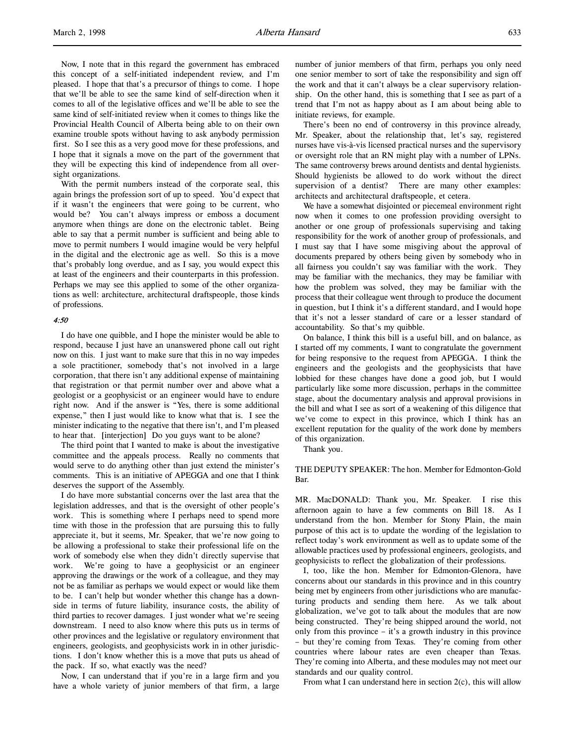Now, I note that in this regard the government has embraced this concept of a self-initiated independent review, and I'm pleased. I hope that that's a precursor of things to come. I hope that we'll be able to see the same kind of self-direction when it comes to all of the legislative offices and we'll be able to see the same kind of self-initiated review when it comes to things like the Provincial Health Council of Alberta being able to on their own examine trouble spots without having to ask anybody permission first. So I see this as a very good move for these professions, and I hope that it signals a move on the part of the government that they will be expecting this kind of independence from all oversight organizations.

With the permit numbers instead of the corporate seal, this again brings the profession sort of up to speed. You'd expect that if it wasn't the engineers that were going to be current, who would be? You can't always impress or emboss a document anymore when things are done on the electronic tablet. Being able to say that a permit number is sufficient and being able to move to permit numbers I would imagine would be very helpful in the digital and the electronic age as well. So this is a move that's probably long overdue, and as I say, you would expect this at least of the engineers and their counterparts in this profession. Perhaps we may see this applied to some of the other organizations as well: architecture, architectural draftspeople, those kinds of professions.

# 4:50

I do have one quibble, and I hope the minister would be able to respond, because I just have an unanswered phone call out right now on this. I just want to make sure that this in no way impedes a sole practitioner, somebody that's not involved in a large corporation, that there isn't any additional expense of maintaining that registration or that permit number over and above what a geologist or a geophysicist or an engineer would have to endure right now. And if the answer is "Yes, there is some additional expense," then I just would like to know what that is. I see the minister indicating to the negative that there isn't, and I'm pleased to hear that. [interjection] Do you guys want to be alone?

The third point that I wanted to make is about the investigative committee and the appeals process. Really no comments that would serve to do anything other than just extend the minister's comments. This is an initiative of APEGGA and one that I think deserves the support of the Assembly.

I do have more substantial concerns over the last area that the legislation addresses, and that is the oversight of other people's work. This is something where I perhaps need to spend more time with those in the profession that are pursuing this to fully appreciate it, but it seems, Mr. Speaker, that we're now going to be allowing a professional to stake their professional life on the work of somebody else when they didn't directly supervise that work. We're going to have a geophysicist or an engineer approving the drawings or the work of a colleague, and they may not be as familiar as perhaps we would expect or would like them to be. I can't help but wonder whether this change has a downside in terms of future liability, insurance costs, the ability of third parties to recover damages. I just wonder what we're seeing downstream. I need to also know where this puts us in terms of other provinces and the legislative or regulatory environment that engineers, geologists, and geophysicists work in in other jurisdictions. I don't know whether this is a move that puts us ahead of the pack. If so, what exactly was the need?

Now, I can understand that if you're in a large firm and you have a whole variety of junior members of that firm, a large number of junior members of that firm, perhaps you only need one senior member to sort of take the responsibility and sign off the work and that it can't always be a clear supervisory relationship. On the other hand, this is something that I see as part of a trend that I'm not as happy about as I am about being able to initiate reviews, for example.

There's been no end of controversy in this province already, Mr. Speaker, about the relationship that, let's say, registered nurses have vis-à-vis licensed practical nurses and the supervisory or oversight role that an RN might play with a number of LPNs. The same controversy brews around dentists and dental hygienists. Should hygienists be allowed to do work without the direct supervision of a dentist? There are many other examples: architects and architectural draftspeople, et cetera.

We have a somewhat disjointed or piecemeal environment right now when it comes to one profession providing oversight to another or one group of professionals supervising and taking responsibility for the work of another group of professionals, and I must say that I have some misgiving about the approval of documents prepared by others being given by somebody who in all fairness you couldn't say was familiar with the work. They may be familiar with the mechanics, they may be familiar with how the problem was solved, they may be familiar with the process that their colleague went through to produce the document in question, but I think it's a different standard, and I would hope that it's not a lesser standard of care or a lesser standard of accountability. So that's my quibble.

On balance, I think this bill is a useful bill, and on balance, as I started off my comments, I want to congratulate the government for being responsive to the request from APEGGA. I think the engineers and the geologists and the geophysicists that have lobbied for these changes have done a good job, but I would particularly like some more discussion, perhaps in the committee stage, about the documentary analysis and approval provisions in the bill and what I see as sort of a weakening of this diligence that we've come to expect in this province, which I think has an excellent reputation for the quality of the work done by members of this organization.

Thank you.

THE DEPUTY SPEAKER: The hon. Member for Edmonton-Gold Bar.

MR. MacDONALD: Thank you, Mr. Speaker. I rise this afternoon again to have a few comments on Bill 18. As I understand from the hon. Member for Stony Plain, the main purpose of this act is to update the wording of the legislation to reflect today's work environment as well as to update some of the allowable practices used by professional engineers, geologists, and geophysicists to reflect the globalization of their professions.

I, too, like the hon. Member for Edmonton-Glenora, have concerns about our standards in this province and in this country being met by engineers from other jurisdictions who are manufacturing products and sending them here. As we talk about globalization, we've got to talk about the modules that are now being constructed. They're being shipped around the world, not only from this province – it's a growth industry in this province – but they're coming from Texas. They're coming from other countries where labour rates are even cheaper than Texas. They're coming into Alberta, and these modules may not meet our standards and our quality control.

From what I can understand here in section 2(c), this will allow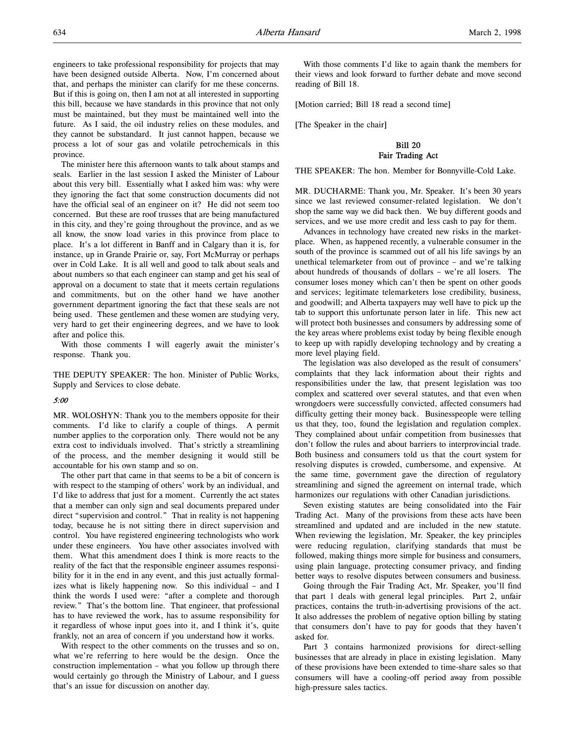engineers to take professional responsibility for projects that may have been designed outside Alberta. Now, I'm concerned about that, and perhaps the minister can clarify for me these concerns. But if this is going on, then I am not at all interested in supporting this bill, because we have standards in this province that not only must be maintained, but they must be maintained well into the future. As I said, the oil industry relies on these modules, and they cannot be substandard. It just cannot happen, because we process a lot of sour gas and volatile petrochemicals in this province.

The minister here this afternoon wants to talk about stamps and seals. Earlier in the last session I asked the Minister of Labour about this very bill. Essentially what I asked him was: why were they ignoring the fact that some construction documents did not have the official seal of an engineer on it? He did not seem too concerned. But these are roof trusses that are being manufactured in this city, and they're going throughout the province, and as we all know, the snow load varies in this province from place to place. It's a lot different in Banff and in Calgary than it is, for instance, up in Grande Prairie or, say, Fort McMurray or perhaps over in Cold Lake. It is all well and good to talk about seals and about numbers so that each engineer can stamp and get his seal of approval on a document to state that it meets certain regulations and commitments, but on the other hand we have another government department ignoring the fact that these seals are not being used. These gentlemen and these women are studying very, very hard to get their engineering degrees, and we have to look after and police this.

With those comments I will eagerly await the minister's response. Thank you.

THE DEPUTY SPEAKER: The hon. Minister of Public Works, Supply and Services to close debate.

## 5:00

MR. WOLOSHYN: Thank you to the members opposite for their comments. I'd like to clarify a couple of things. A permit number applies to the corporation only. There would not be any extra cost to individuals involved. That's strictly a streamlining of the process, and the member designing it would still be accountable for his own stamp and so on.

The other part that came in that seems to be a bit of concern is with respect to the stamping of others' work by an individual, and I'd like to address that just for a moment. Currently the act states that a member can only sign and seal documents prepared under direct "supervision and control." That in reality is not happening today, because he is not sitting there in direct supervision and control. You have registered engineering technologists who work under these engineers. You have other associates involved with them. What this amendment does I think is more reacts to the reality of the fact that the responsible engineer assumes responsibility for it in the end in any event, and this just actually formalizes what is likely happening now. So this individual – and I think the words I used were: "after a complete and thorough review." That's the bottom line. That engineer, that professional has to have reviewed the work, has to assume responsibility for it regardless of whose input goes into it, and I think it's, quite frankly, not an area of concern if you understand how it works.

With respect to the other comments on the trusses and so on, what we're referring to here would be the design. Once the construction implementation – what you follow up through there would certainly go through the Ministry of Labour, and I guess that's an issue for discussion on another day.

With those comments I'd like to again thank the members for their views and look forward to further debate and move second reading of Bill 18.

[Motion carried; Bill 18 read a second time]

[The Speaker in the chair]

# Bill 20 Fair Trading Act

THE SPEAKER: The hon. Member for Bonnyville-Cold Lake.

MR. DUCHARME: Thank you, Mr. Speaker. It's been 30 years since we last reviewed consumer-related legislation. We don't shop the same way we did back then. We buy different goods and services, and we use more credit and less cash to pay for them.

Advances in technology have created new risks in the marketplace. When, as happened recently, a vulnerable consumer in the south of the province is scammed out of all his life savings by an unethical telemarketer from out of province – and we're talking about hundreds of thousands of dollars – we're all losers. The consumer loses money which can't then be spent on other goods and services; legitimate telemarketers lose credibility, business, and goodwill; and Alberta taxpayers may well have to pick up the tab to support this unfortunate person later in life. This new act will protect both businesses and consumers by addressing some of the key areas where problems exist today by being flexible enough to keep up with rapidly developing technology and by creating a more level playing field.

The legislation was also developed as the result of consumers' complaints that they lack information about their rights and responsibilities under the law, that present legislation was too complex and scattered over several statutes, and that even when wrongdoers were successfully convicted, affected consumers had difficulty getting their money back. Businesspeople were telling us that they, too, found the legislation and regulation complex. They complained about unfair competition from businesses that don't follow the rules and about barriers to interprovincial trade. Both business and consumers told us that the court system for resolving disputes is crowded, cumbersome, and expensive. At the same time, government gave the direction of regulatory streamlining and signed the agreement on internal trade, which harmonizes our regulations with other Canadian jurisdictions.

Seven existing statutes are being consolidated into the Fair Trading Act. Many of the provisions from these acts have been streamlined and updated and are included in the new statute. When reviewing the legislation, Mr. Speaker, the key principles were reducing regulation, clarifying standards that must be followed, making things more simple for business and consumers, using plain language, protecting consumer privacy, and finding better ways to resolve disputes between consumers and business.

Going through the Fair Trading Act, Mr. Speaker, you'll find that part 1 deals with general legal principles. Part 2, unfair practices, contains the truth-in-advertising provisions of the act. It also addresses the problem of negative option billing by stating that consumers don't have to pay for goods that they haven't asked for.

Part 3 contains harmonized provisions for direct-selling businesses that are already in place in existing legislation. Many of these provisions have been extended to time-share sales so that consumers will have a cooling-off period away from possible high-pressure sales tactics.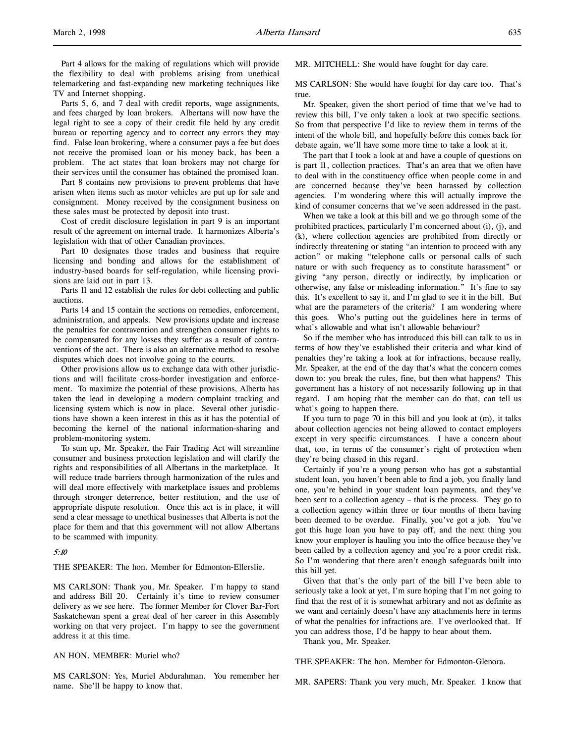Part 4 allows for the making of regulations which will provide the flexibility to deal with problems arising from unethical telemarketing and fast-expanding new marketing techniques like TV and Internet shopping.

Parts 5, 6, and 7 deal with credit reports, wage assignments, and fees charged by loan brokers. Albertans will now have the legal right to see a copy of their credit file held by any credit bureau or reporting agency and to correct any errors they may find. False loan brokering, where a consumer pays a fee but does not receive the promised loan or his money back, has been a problem. The act states that loan brokers may not charge for their services until the consumer has obtained the promised loan.

Part 8 contains new provisions to prevent problems that have arisen when items such as motor vehicles are put up for sale and consignment. Money received by the consignment business on these sales must be protected by deposit into trust.

Cost of credit disclosure legislation in part 9 is an important result of the agreement on internal trade. It harmonizes Alberta's legislation with that of other Canadian provinces.

Part 10 designates those trades and business that require licensing and bonding and allows for the establishment of industry-based boards for self-regulation, while licensing provisions are laid out in part 13.

Parts 11 and 12 establish the rules for debt collecting and public auctions.

Parts 14 and 15 contain the sections on remedies, enforcement, administration, and appeals. New provisions update and increase the penalties for contravention and strengthen consumer rights to be compensated for any losses they suffer as a result of contraventions of the act. There is also an alternative method to resolve disputes which does not involve going to the courts.

Other provisions allow us to exchange data with other jurisdictions and will facilitate cross-border investigation and enforcement. To maximize the potential of these provisions, Alberta has taken the lead in developing a modern complaint tracking and licensing system which is now in place. Several other jurisdictions have shown a keen interest in this as it has the potential of becoming the kernel of the national information-sharing and problem-monitoring system.

To sum up, Mr. Speaker, the Fair Trading Act will streamline consumer and business protection legislation and will clarify the rights and responsibilities of all Albertans in the marketplace. It will reduce trade barriers through harmonization of the rules and will deal more effectively with marketplace issues and problems through stronger deterrence, better restitution, and the use of appropriate dispute resolution. Once this act is in place, it will send a clear message to unethical businesses that Alberta is not the place for them and that this government will not allow Albertans to be scammed with impunity.

## 5:10

THE SPEAKER: The hon. Member for Edmonton-Ellerslie.

MS CARLSON: Thank you, Mr. Speaker. I'm happy to stand and address Bill 20. Certainly it's time to review consumer delivery as we see here. The former Member for Clover Bar-Fort Saskatchewan spent a great deal of her career in this Assembly working on that very project. I'm happy to see the government address it at this time.

AN HON. MEMBER: Muriel who?

MS CARLSON: Yes, Muriel Abdurahman. You remember her name. She'll be happy to know that.

MR. MITCHELL: She would have fought for day care.

MS CARLSON: She would have fought for day care too. That's true.

Mr. Speaker, given the short period of time that we've had to review this bill, I've only taken a look at two specific sections. So from that perspective I'd like to review them in terms of the intent of the whole bill, and hopefully before this comes back for debate again, we'll have some more time to take a look at it.

The part that I took a look at and have a couple of questions on is part 11, collection practices. That's an area that we often have to deal with in the constituency office when people come in and are concerned because they've been harassed by collection agencies. I'm wondering where this will actually improve the kind of consumer concerns that we've seen addressed in the past.

When we take a look at this bill and we go through some of the prohibited practices, particularly I'm concerned about (i), (j), and (k), where collection agencies are prohibited from directly or indirectly threatening or stating "an intention to proceed with any action" or making "telephone calls or personal calls of such nature or with such frequency as to constitute harassment" or giving "any person, directly or indirectly, by implication or otherwise, any false or misleading information." It's fine to say this. It's excellent to say it, and I'm glad to see it in the bill. But what are the parameters of the criteria? I am wondering where this goes. Who's putting out the guidelines here in terms of what's allowable and what isn't allowable behaviour?

So if the member who has introduced this bill can talk to us in terms of how they've established their criteria and what kind of penalties they're taking a look at for infractions, because really, Mr. Speaker, at the end of the day that's what the concern comes down to: you break the rules, fine, but then what happens? This government has a history of not necessarily following up in that regard. I am hoping that the member can do that, can tell us what's going to happen there.

If you turn to page 70 in this bill and you look at (m), it talks about collection agencies not being allowed to contact employers except in very specific circumstances. I have a concern about that, too, in terms of the consumer's right of protection when they're being chased in this regard.

Certainly if you're a young person who has got a substantial student loan, you haven't been able to find a job, you finally land one, you're behind in your student loan payments, and they've been sent to a collection agency – that is the process. They go to a collection agency within three or four months of them having been deemed to be overdue. Finally, you've got a job. You've got this huge loan you have to pay off, and the next thing you know your employer is hauling you into the office because they've been called by a collection agency and you're a poor credit risk. So I'm wondering that there aren't enough safeguards built into this bill yet.

Given that that's the only part of the bill I've been able to seriously take a look at yet, I'm sure hoping that I'm not going to find that the rest of it is somewhat arbitrary and not as definite as we want and certainly doesn't have any attachments here in terms of what the penalties for infractions are. I've overlooked that. If you can address those, I'd be happy to hear about them.

Thank you, Mr. Speaker.

THE SPEAKER: The hon. Member for Edmonton-Glenora.

MR. SAPERS: Thank you very much, Mr. Speaker. I know that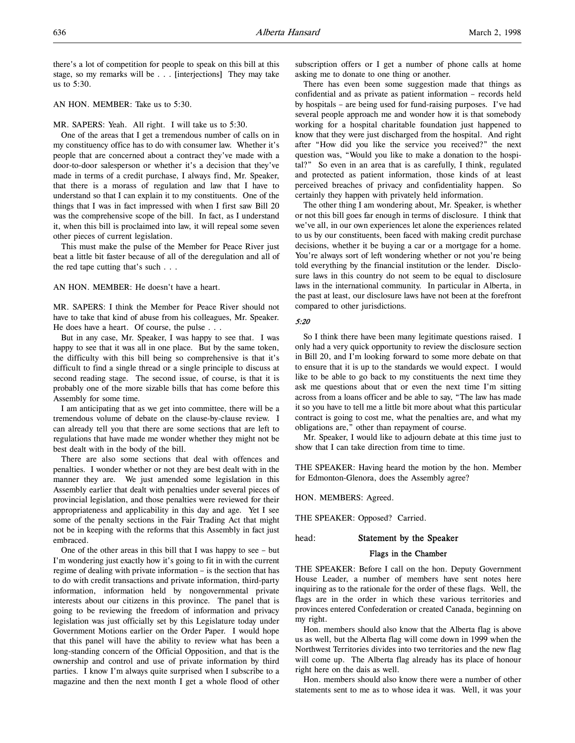there's a lot of competition for people to speak on this bill at this stage, so my remarks will be . . . [interjections] They may take us to 5:30.

# AN HON. MEMBER: Take us to 5:30.

MR. SAPERS: Yeah. All right. I will take us to 5:30.

One of the areas that I get a tremendous number of calls on in my constituency office has to do with consumer law. Whether it's people that are concerned about a contract they've made with a door-to-door salesperson or whether it's a decision that they've made in terms of a credit purchase, I always find, Mr. Speaker, that there is a morass of regulation and law that I have to understand so that I can explain it to my constituents. One of the things that I was in fact impressed with when I first saw Bill 20 was the comprehensive scope of the bill. In fact, as I understand it, when this bill is proclaimed into law, it will repeal some seven other pieces of current legislation.

This must make the pulse of the Member for Peace River just beat a little bit faster because of all of the deregulation and all of the red tape cutting that's such . . .

AN HON. MEMBER: He doesn't have a heart.

MR. SAPERS: I think the Member for Peace River should not have to take that kind of abuse from his colleagues, Mr. Speaker. He does have a heart. Of course, the pulse . . .

But in any case, Mr. Speaker, I was happy to see that. I was happy to see that it was all in one place. But by the same token, the difficulty with this bill being so comprehensive is that it's difficult to find a single thread or a single principle to discuss at second reading stage. The second issue, of course, is that it is probably one of the more sizable bills that has come before this Assembly for some time.

I am anticipating that as we get into committee, there will be a tremendous volume of debate on the clause-by-clause review. I can already tell you that there are some sections that are left to regulations that have made me wonder whether they might not be best dealt with in the body of the bill.

There are also some sections that deal with offences and penalties. I wonder whether or not they are best dealt with in the manner they are. We just amended some legislation in this Assembly earlier that dealt with penalties under several pieces of provincial legislation, and those penalties were reviewed for their appropriateness and applicability in this day and age. Yet I see some of the penalty sections in the Fair Trading Act that might not be in keeping with the reforms that this Assembly in fact just embraced.

One of the other areas in this bill that I was happy to see – but I'm wondering just exactly how it's going to fit in with the current regime of dealing with private information – is the section that has to do with credit transactions and private information, third-party information, information held by nongovernmental private interests about our citizens in this province. The panel that is going to be reviewing the freedom of information and privacy legislation was just officially set by this Legislature today under Government Motions earlier on the Order Paper. I would hope that this panel will have the ability to review what has been a long-standing concern of the Official Opposition, and that is the ownership and control and use of private information by third parties. I know I'm always quite surprised when I subscribe to a magazine and then the next month I get a whole flood of other subscription offers or I get a number of phone calls at home asking me to donate to one thing or another.

There has even been some suggestion made that things as confidential and as private as patient information – records held by hospitals – are being used for fund-raising purposes. I've had several people approach me and wonder how it is that somebody working for a hospital charitable foundation just happened to know that they were just discharged from the hospital. And right after "How did you like the service you received?" the next question was, "Would you like to make a donation to the hospital?" So even in an area that is as carefully, I think, regulated and protected as patient information, those kinds of at least perceived breaches of privacy and confidentiality happen. So certainly they happen with privately held information.

The other thing I am wondering about, Mr. Speaker, is whether or not this bill goes far enough in terms of disclosure. I think that we've all, in our own experiences let alone the experiences related to us by our constituents, been faced with making credit purchase decisions, whether it be buying a car or a mortgage for a home. You're always sort of left wondering whether or not you're being told everything by the financial institution or the lender. Disclosure laws in this country do not seem to be equal to disclosure laws in the international community. In particular in Alberta, in the past at least, our disclosure laws have not been at the forefront compared to other jurisdictions.

#### 5:20

So I think there have been many legitimate questions raised. I only had a very quick opportunity to review the disclosure section in Bill 20, and I'm looking forward to some more debate on that to ensure that it is up to the standards we would expect. I would like to be able to go back to my constituents the next time they ask me questions about that or even the next time I'm sitting across from a loans officer and be able to say, "The law has made it so you have to tell me a little bit more about what this particular contract is going to cost me, what the penalties are, and what my obligations are," other than repayment of course.

Mr. Speaker, I would like to adjourn debate at this time just to show that I can take direction from time to time.

THE SPEAKER: Having heard the motion by the hon. Member for Edmonton-Glenora, does the Assembly agree?

HON. MEMBERS: Agreed.

THE SPEAKER: Opposed? Carried.

# head: Statement by the Speaker

## Flags in the Chamber

THE SPEAKER: Before I call on the hon. Deputy Government House Leader, a number of members have sent notes here inquiring as to the rationale for the order of these flags. Well, the flags are in the order in which these various territories and provinces entered Confederation or created Canada, beginning on my right.

Hon. members should also know that the Alberta flag is above us as well, but the Alberta flag will come down in 1999 when the Northwest Territories divides into two territories and the new flag will come up. The Alberta flag already has its place of honour right here on the dais as well.

Hon. members should also know there were a number of other statements sent to me as to whose idea it was. Well, it was your